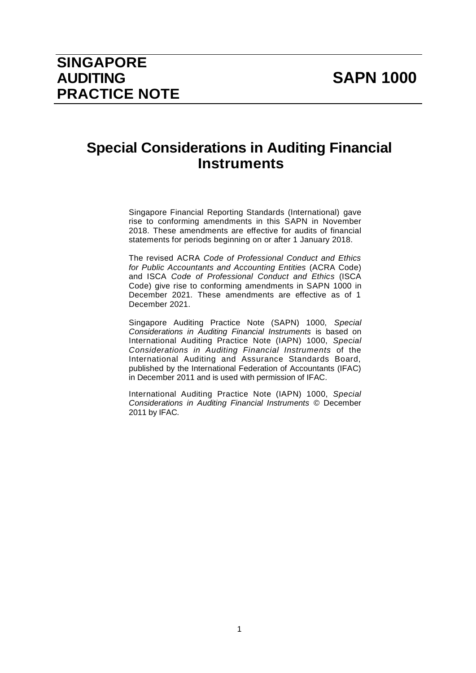# **Special Considerations in Auditing Financial Instruments**

Singapore Financial Reporting Standards (International) gave rise to conforming amendments in this SAPN in November 2018. These amendments are effective for audits of financial statements for periods beginning on or after 1 January 2018.

The revised ACRA *Code of Professional Conduct and Ethics for Public Accountants and Accounting Entities* (ACRA Code) and ISCA *Code of Professional Conduct and Ethics* (ISCA Code) give rise to conforming amendments in SAPN 1000 in December 2021. These amendments are effective as of 1 December 2021.

Singapore Auditing Practice Note (SAPN) 1000, *Special Considerations in Auditing Financial Instruments* is based on International Auditing Practice Note (IAPN) 1000, *Special Considerations in Auditing Financial Instruments* of the International Auditing and Assurance Standards Board, published by the International Federation of Accountants (IFAC) in December 2011 and is used with permission of IFAC.

International Auditing Practice Note (IAPN) 1000, *Special Considerations in Auditing Financial Instruments* © December 2011 by IFAC.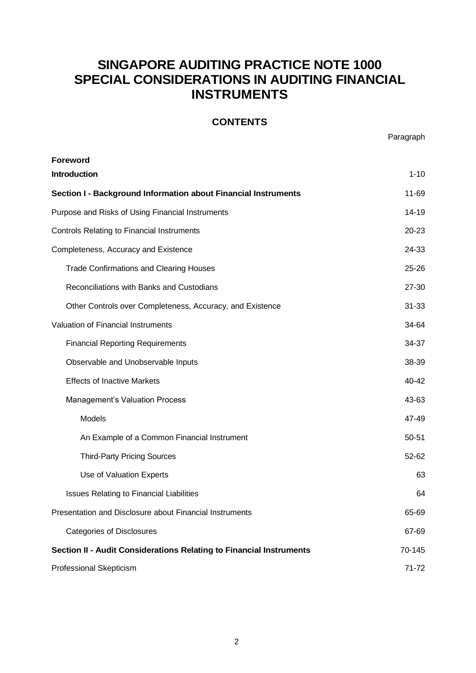# **SINGAPORE AUDITING PRACTICE NOTE 1000 SPECIAL CONSIDERATIONS IN AUDITING FINANCIAL INSTRUMENTS**

# **CONTENTS**

Paragraph

| <b>Foreword</b>                                                     |           |
|---------------------------------------------------------------------|-----------|
| <b>Introduction</b>                                                 | $1 - 10$  |
| Section I - Background Information about Financial Instruments      | 11-69     |
| Purpose and Risks of Using Financial Instruments                    | $14 - 19$ |
| <b>Controls Relating to Financial Instruments</b>                   | $20 - 23$ |
| Completeness, Accuracy and Existence                                | 24-33     |
| <b>Trade Confirmations and Clearing Houses</b>                      | $25 - 26$ |
| Reconciliations with Banks and Custodians                           | 27-30     |
| Other Controls over Completeness, Accuracy, and Existence           | $31 - 33$ |
| Valuation of Financial Instruments                                  | 34-64     |
| <b>Financial Reporting Requirements</b>                             | 34-37     |
| Observable and Unobservable Inputs                                  | 38-39     |
| <b>Effects of Inactive Markets</b>                                  | 40-42     |
| <b>Management's Valuation Process</b>                               | 43-63     |
| Models                                                              | 47-49     |
| An Example of a Common Financial Instrument                         | 50-51     |
| <b>Third-Party Pricing Sources</b>                                  | 52-62     |
| Use of Valuation Experts                                            | 63        |
| <b>Issues Relating to Financial Liabilities</b>                     | 64        |
| Presentation and Disclosure about Financial Instruments             | 65-69     |
| <b>Categories of Disclosures</b>                                    | 67-69     |
| Section II - Audit Considerations Relating to Financial Instruments | 70-145    |
| Professional Skepticism                                             | $71 - 72$ |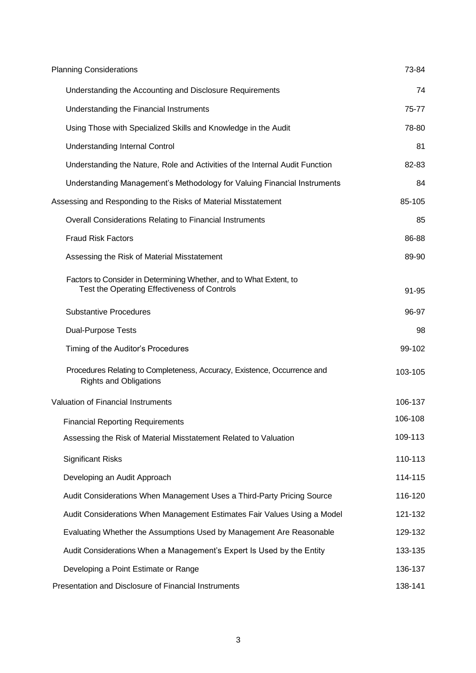| <b>Planning Considerations</b>                                                                                     | 73-84   |
|--------------------------------------------------------------------------------------------------------------------|---------|
| Understanding the Accounting and Disclosure Requirements                                                           | 74      |
| Understanding the Financial Instruments                                                                            | 75-77   |
| Using Those with Specialized Skills and Knowledge in the Audit                                                     | 78-80   |
| <b>Understanding Internal Control</b>                                                                              | 81      |
| Understanding the Nature, Role and Activities of the Internal Audit Function                                       | 82-83   |
| Understanding Management's Methodology for Valuing Financial Instruments                                           | 84      |
| Assessing and Responding to the Risks of Material Misstatement                                                     | 85-105  |
| Overall Considerations Relating to Financial Instruments                                                           | 85      |
| <b>Fraud Risk Factors</b>                                                                                          | 86-88   |
| Assessing the Risk of Material Misstatement                                                                        | 89-90   |
| Factors to Consider in Determining Whether, and to What Extent, to<br>Test the Operating Effectiveness of Controls | 91-95   |
| <b>Substantive Procedures</b>                                                                                      | 96-97   |
| <b>Dual-Purpose Tests</b>                                                                                          | 98      |
| Timing of the Auditor's Procedures                                                                                 | 99-102  |
| Procedures Relating to Completeness, Accuracy, Existence, Occurrence and<br><b>Rights and Obligations</b>          | 103-105 |
| Valuation of Financial Instruments                                                                                 | 106-137 |
| <b>Financial Reporting Requirements</b>                                                                            | 106-108 |
| Assessing the Risk of Material Misstatement Related to Valuation                                                   | 109-113 |
| <b>Significant Risks</b>                                                                                           | 110-113 |
| Developing an Audit Approach                                                                                       | 114-115 |
| Audit Considerations When Management Uses a Third-Party Pricing Source                                             | 116-120 |
| Audit Considerations When Management Estimates Fair Values Using a Model                                           | 121-132 |
| Evaluating Whether the Assumptions Used by Management Are Reasonable                                               | 129-132 |
| Audit Considerations When a Management's Expert Is Used by the Entity                                              | 133-135 |
| Developing a Point Estimate or Range                                                                               | 136-137 |
| Presentation and Disclosure of Financial Instruments                                                               | 138-141 |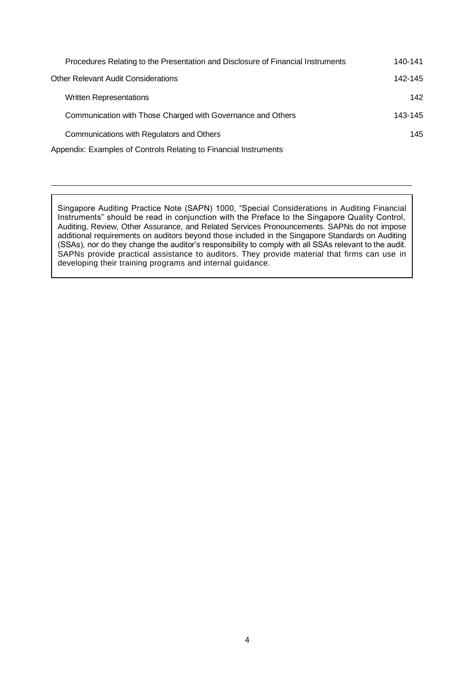| Procedures Relating to the Presentation and Disclosure of Financial Instruments | 140-141 |
|---------------------------------------------------------------------------------|---------|
| <b>Other Relevant Audit Considerations</b>                                      | 142-145 |
| <b>Written Representations</b>                                                  | 142     |
| Communication with Those Charged with Governance and Others                     | 143-145 |
| Communications with Regulators and Others                                       | 145     |
| Appendix: Examples of Controls Relating to Financial Instruments                |         |

Singapore Auditing Practice Note (SAPN) 1000, "Special Considerations in Auditing Financial Instruments" should be read in conjunction with the Preface to the Singapore Quality Control, Auditing, Review, Other Assurance, and Related Services Pronouncements. SAPNs do not impose additional requirements on auditors beyond those included in the Singapore Standards on Auditing (SSAs), nor do they change the auditor's responsibility to comply with all SSAs relevant to the audit. SAPNs provide practical assistance to auditors. They provide material that firms can use in developing their training programs and internal guidance.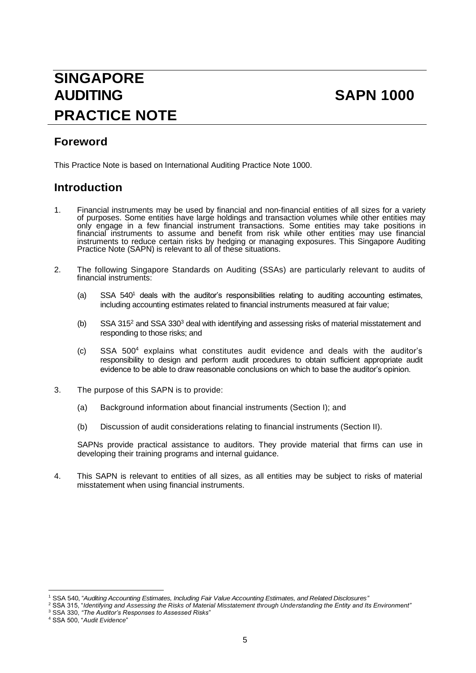# **SINGAPORE AUDITING SAPN 1000 PRACTICE NOTE**

# **Foreword**

This Practice Note is based on International Auditing Practice Note 1000.

# **Introduction**

- 1. Financial instruments may be used by financial and non-financial entities of all sizes for a variety of purposes. Some entities have large holdings and transaction volumes while other entities may only engage in a few financial instrument transactions. Some entities may take positions in financial instruments to assume and benefit from risk while other entities may use financial instruments to reduce certain risks by hedging or managing exposures. This Singapore Auditing Practice Note (SAPN) is relevant to all of these situations.
- 2. The following Singapore Standards on Auditing (SSAs) are particularly relevant to audits of financial instruments:
	- $(a)$  SSA 540<sup>1</sup> deals with the auditor's responsibilities relating to auditing accounting estimates, including accounting estimates related to financial instruments measured at fair value;
	- (b) SSA 315<sup>2</sup> and SSA 330<sup>3</sup> deal with identifying and assessing risks of material misstatement and responding to those risks; and
	- $(c)$  SSA 500<sup>4</sup> explains what constitutes audit evidence and deals with the auditor's responsibility to design and perform audit procedures to obtain sufficient appropriate audit evidence to be able to draw reasonable conclusions on which to base the auditor's opinion.
- 3. The purpose of this SAPN is to provide:
	- (a) Background information about financial instruments (Section I); and
	- (b) Discussion of audit considerations relating to financial instruments (Section II).

SAPNs provide practical assistance to auditors. They provide material that firms can use in developing their training programs and internal guidance.

4. This SAPN is relevant to entities of all sizes, as all entities may be subject to risks of material misstatement when using financial instruments.

<sup>1</sup> SSA 540, "*Auditing Accounting Estimates, Including Fair Value Accounting Estimates, and Related Disclosures"*

<sup>2</sup> SSA 315, "*Identifying and Assessing the Risks of Material Misstatement through Understanding the Entity and Its Environment"*

<sup>3</sup> SSA 330, *"The Auditor's Responses to Assessed Risks*"

<sup>4</sup> SSA 500, "*Audit Evidence*"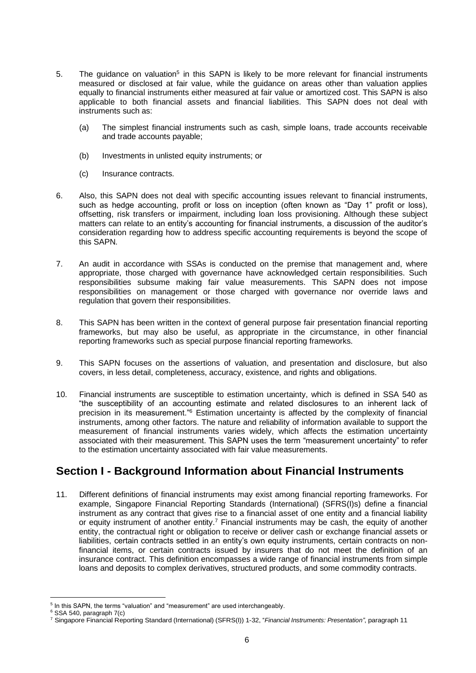- 5. The guidance on valuation<sup>5</sup> in this SAPN is likely to be more relevant for financial instruments measured or disclosed at fair value, while the guidance on areas other than valuation applies equally to financial instruments either measured at fair value or amortized cost. This SAPN is also applicable to both financial assets and financial liabilities. This SAPN does not deal with instruments such as:
	- (a) The simplest financial instruments such as cash, simple loans, trade accounts receivable and trade accounts payable;
	- (b) Investments in unlisted equity instruments; or
	- (c) Insurance contracts.
- 6. Also, this SAPN does not deal with specific accounting issues relevant to financial instruments, such as hedge accounting, profit or loss on inception (often known as "Day 1" profit or loss), offsetting, risk transfers or impairment, including loan loss provisioning. Although these subject matters can relate to an entity's accounting for financial instruments, a discussion of the auditor's consideration regarding how to address specific accounting requirements is beyond the scope of this SAPN.
- 7. An audit in accordance with SSAs is conducted on the premise that management and, where appropriate, those charged with governance have acknowledged certain responsibilities. Such responsibilities subsume making fair value measurements. This SAPN does not impose responsibilities on management or those charged with governance nor override laws and regulation that govern their responsibilities.
- 8. This SAPN has been written in the context of general purpose fair presentation financial reporting frameworks, but may also be useful, as appropriate in the circumstance, in other financial reporting frameworks such as special purpose financial reporting frameworks.
- 9. This SAPN focuses on the assertions of valuation, and presentation and disclosure, but also covers, in less detail, completeness, accuracy, existence, and rights and obligations.
- 10. Financial instruments are susceptible to estimation uncertainty, which is defined in SSA 540 as "the susceptibility of an accounting estimate and related disclosures to an inherent lack of precision in its measurement."<sup>6</sup> Estimation uncertainty is affected by the complexity of financial instruments, among other factors. The nature and reliability of information available to support the measurement of financial instruments varies widely, which affects the estimation uncertainty associated with their measurement. This SAPN uses the term "measurement uncertainty" to refer to the estimation uncertainty associated with fair value measurements.

# **Section I - Background Information about Financial Instruments**

11. Different definitions of financial instruments may exist among financial reporting frameworks. For example, Singapore Financial Reporting Standards (International) (SFRS(I)s) define a financial instrument as any contract that gives rise to a financial asset of one entity and a financial liability or equity instrument of another entity.<sup>7</sup> Financial instruments may be cash, the equity of another entity, the contractual right or obligation to receive or deliver cash or exchange financial assets or liabilities, certain contracts settled in an entity's own equity instruments, certain contracts on nonfinancial items, or certain contracts issued by insurers that do not meet the definition of an insurance contract. This definition encompasses a wide range of financial instruments from simple loans and deposits to complex derivatives, structured products, and some commodity contracts.

<sup>&</sup>lt;sup>5</sup> In this SAPN, the terms "valuation" and "measurement" are used interchangeably.

 $6$  SSA 540, paragraph  $7(c)$ 

<sup>7</sup> Singapore Financial Reporting Standard (International) (SFRS(I)) 1-32, "*Financial Instruments: Presentation"*, paragraph 11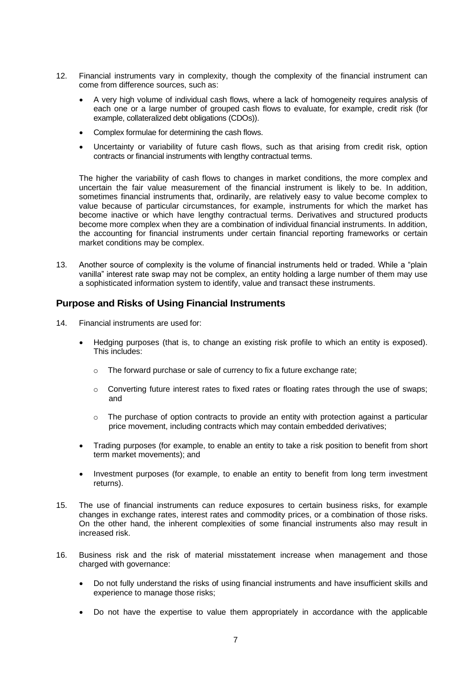- 12. Financial instruments vary in complexity, though the complexity of the financial instrument can come from difference sources, such as:
	- A very high volume of individual cash flows, where a lack of homogeneity requires analysis of each one or a large number of grouped cash flows to evaluate, for example, credit risk (for example, collateralized debt obligations (CDOs)).
	- Complex formulae for determining the cash flows.
	- Uncertainty or variability of future cash flows, such as that arising from credit risk, option contracts or financial instruments with lengthy contractual terms.

The higher the variability of cash flows to changes in market conditions, the more complex and uncertain the fair value measurement of the financial instrument is likely to be. In addition, sometimes financial instruments that, ordinarily, are relatively easy to value become complex to value because of particular circumstances, for example, instruments for which the market has become inactive or which have lengthy contractual terms. Derivatives and structured products become more complex when they are a combination of individual financial instruments. In addition, the accounting for financial instruments under certain financial reporting frameworks or certain market conditions may be complex.

13. Another source of complexity is the volume of financial instruments held or traded. While a "plain vanilla" interest rate swap may not be complex, an entity holding a large number of them may use a sophisticated information system to identify, value and transact these instruments.

# **Purpose and Risks of Using Financial Instruments**

- 14. Financial instruments are used for:
	- Hedging purposes (that is, to change an existing risk profile to which an entity is exposed). This includes:
		- o The forward purchase or sale of currency to fix a future exchange rate;
		- $\circ$  Converting future interest rates to fixed rates or floating rates through the use of swaps; and
		- $\circ$  The purchase of option contracts to provide an entity with protection against a particular price movement, including contracts which may contain embedded derivatives;
	- Trading purposes (for example, to enable an entity to take a risk position to benefit from short term market movements); and
	- Investment purposes (for example, to enable an entity to benefit from long term investment returns).
- 15. The use of financial instruments can reduce exposures to certain business risks, for example changes in exchange rates, interest rates and commodity prices, or a combination of those risks. On the other hand, the inherent complexities of some financial instruments also may result in increased risk.
- 16. Business risk and the risk of material misstatement increase when management and those charged with governance:
	- Do not fully understand the risks of using financial instruments and have insufficient skills and experience to manage those risks;
	- Do not have the expertise to value them appropriately in accordance with the applicable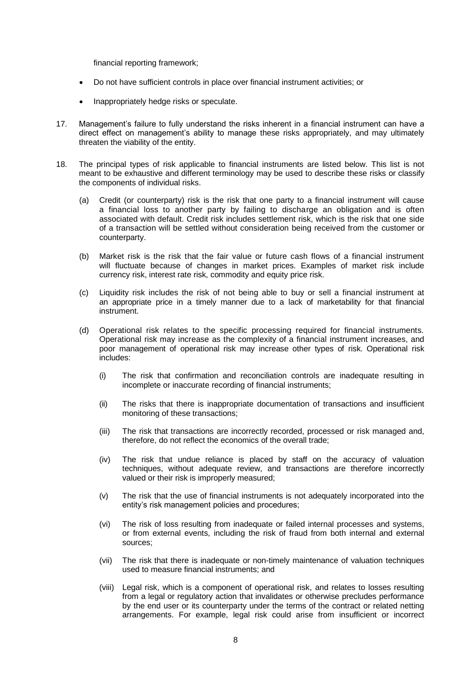financial reporting framework;

- Do not have sufficient controls in place over financial instrument activities; or
- Inappropriately hedge risks or speculate.
- 17. Management's failure to fully understand the risks inherent in a financial instrument can have a direct effect on management's ability to manage these risks appropriately, and may ultimately threaten the viability of the entity.
- 18. The principal types of risk applicable to financial instruments are listed below. This list is not meant to be exhaustive and different terminology may be used to describe these risks or classify the components of individual risks.
	- (a) Credit (or counterparty) risk is the risk that one party to a financial instrument will cause a financial loss to another party by failing to discharge an obligation and is often associated with default. Credit risk includes settlement risk, which is the risk that one side of a transaction will be settled without consideration being received from the customer or counterparty.
	- (b) Market risk is the risk that the fair value or future cash flows of a financial instrument will fluctuate because of changes in market prices. Examples of market risk include currency risk, interest rate risk, commodity and equity price risk.
	- (c) Liquidity risk includes the risk of not being able to buy or sell a financial instrument at an appropriate price in a timely manner due to a lack of marketability for that financial instrument.
	- (d) Operational risk relates to the specific processing required for financial instruments. Operational risk may increase as the complexity of a financial instrument increases, and poor management of operational risk may increase other types of risk. Operational risk includes:
		- (i) The risk that confirmation and reconciliation controls are inadequate resulting in incomplete or inaccurate recording of financial instruments;
		- (ii) The risks that there is inappropriate documentation of transactions and insufficient monitoring of these transactions;
		- (iii) The risk that transactions are incorrectly recorded, processed or risk managed and, therefore, do not reflect the economics of the overall trade;
		- (iv) The risk that undue reliance is placed by staff on the accuracy of valuation techniques, without adequate review, and transactions are therefore incorrectly valued or their risk is improperly measured;
		- (v) The risk that the use of financial instruments is not adequately incorporated into the entity's risk management policies and procedures;
		- (vi) The risk of loss resulting from inadequate or failed internal processes and systems, or from external events, including the risk of fraud from both internal and external sources;
		- (vii) The risk that there is inadequate or non-timely maintenance of valuation techniques used to measure financial instruments; and
		- (viii) Legal risk, which is a component of operational risk, and relates to losses resulting from a legal or regulatory action that invalidates or otherwise precludes performance by the end user or its counterparty under the terms of the contract or related netting arrangements. For example, legal risk could arise from insufficient or incorrect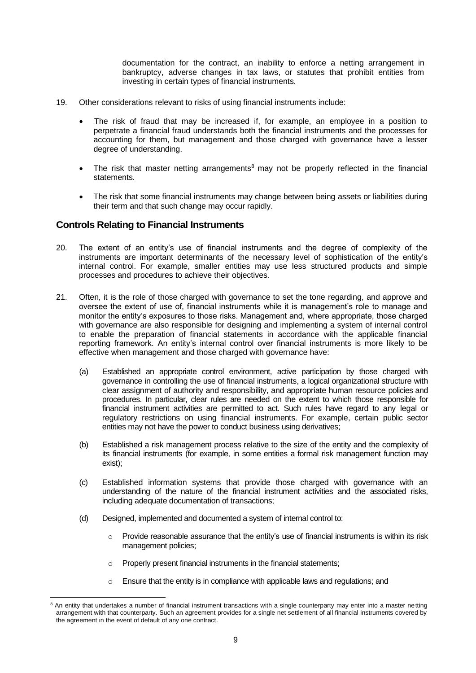documentation for the contract, an inability to enforce a netting arrangement in bankruptcy, adverse changes in tax laws, or statutes that prohibit entities from investing in certain types of financial instruments.

- 19. Other considerations relevant to risks of using financial instruments include:
	- The risk of fraud that may be increased if, for example, an employee in a position to perpetrate a financial fraud understands both the financial instruments and the processes for accounting for them, but management and those charged with governance have a lesser degree of understanding.
	- The risk that master netting arrangements<sup>8</sup> may not be properly reflected in the financial statements.
	- The risk that some financial instruments may change between being assets or liabilities during their term and that such change may occur rapidly.

#### **Controls Relating to Financial Instruments**

- 20. The extent of an entity's use of financial instruments and the degree of complexity of the instruments are important determinants of the necessary level of sophistication of the entity's internal control. For example, smaller entities may use less structured products and simple processes and procedures to achieve their objectives.
- 21. Often, it is the role of those charged with governance to set the tone regarding, and approve and oversee the extent of use of, financial instruments while it is management's role to manage and monitor the entity's exposures to those risks. Management and, where appropriate, those charged with governance are also responsible for designing and implementing a system of internal control to enable the preparation of financial statements in accordance with the applicable financial reporting framework. An entity's internal control over financial instruments is more likely to be effective when management and those charged with governance have:
	- (a) Established an appropriate control environment, active participation by those charged with governance in controlling the use of financial instruments, a logical organizational structure with clear assignment of authority and responsibility, and appropriate human resource policies and procedures. In particular, clear rules are needed on the extent to which those responsible for financial instrument activities are permitted to act. Such rules have regard to any legal or regulatory restrictions on using financial instruments. For example, certain public sector entities may not have the power to conduct business using derivatives;
	- (b) Established a risk management process relative to the size of the entity and the complexity of its financial instruments (for example, in some entities a formal risk management function may exist);
	- (c) Established information systems that provide those charged with governance with an understanding of the nature of the financial instrument activities and the associated risks, including adequate documentation of transactions;
	- (d) Designed, implemented and documented a system of internal control to:
		- $\circ$  Provide reasonable assurance that the entity's use of financial instruments is within its risk management policies;
		- o Properly present financial instruments in the financial statements;
		- $\circ$  Ensure that the entity is in compliance with applicable laws and regulations; and

<sup>&</sup>lt;sup>8</sup> An entity that undertakes a number of financial instrument transactions with a single counterparty may enter into a master netting arrangement with that counterparty. Such an agreement provides for a single net settlement of all financial instruments covered by the agreement in the event of default of any one contract.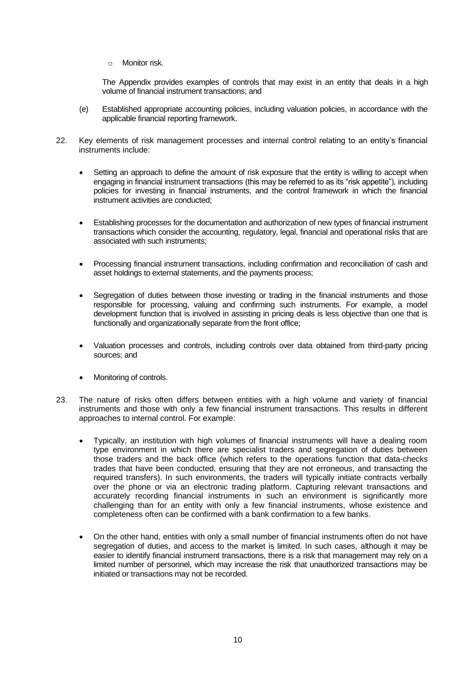o Monitor risk.

The Appendix provides examples of controls that may exist in an entity that deals in a high volume of financial instrument transactions; and

- (e) Established appropriate accounting policies, including valuation policies, in accordance with the applicable financial reporting framework.
- 22. Key elements of risk management processes and internal control relating to an entity's financial instruments include:
	- Setting an approach to define the amount of risk exposure that the entity is willing to accept when engaging in financial instrument transactions (this may be referred to as its "risk appetite"), including policies for investing in financial instruments, and the control framework in which the financial instrument activities are conducted;
	- Establishing processes for the documentation and authorization of new types of financial instrument transactions which consider the accounting, regulatory, legal, financial and operational risks that are associated with such instruments;
	- Processing financial instrument transactions, including confirmation and reconciliation of cash and asset holdings to external statements, and the payments process;
	- Segregation of duties between those investing or trading in the financial instruments and those responsible for processing, valuing and confirming such instruments. For example, a model development function that is involved in assisting in pricing deals is less objective than one that is functionally and organizationally separate from the front office;
	- Valuation processes and controls, including controls over data obtained from third-party pricing sources; and
	- Monitoring of controls.
- 23. The nature of risks often differs between entities with a high volume and variety of financial instruments and those with only a few financial instrument transactions. This results in different approaches to internal control. For example:
	- Typically, an institution with high volumes of financial instruments will have a dealing room type environment in which there are specialist traders and segregation of duties between those traders and the back office (which refers to the operations function that data-checks trades that have been conducted, ensuring that they are not erroneous, and transacting the required transfers). In such environments, the traders will typically initiate contracts verbally over the phone or via an electronic trading platform. Capturing relevant transactions and accurately recording financial instruments in such an environment is significantly more challenging than for an entity with only a few financial instruments, whose existence and completeness often can be confirmed with a bank confirmation to a few banks.
	- On the other hand, entities with only a small number of financial instruments often do not have segregation of duties, and access to the market is limited. In such cases, although it may be easier to identify financial instrument transactions, there is a risk that management may rely on a limited number of personnel, which may increase the risk that unauthorized transactions may be initiated or transactions may not be recorded.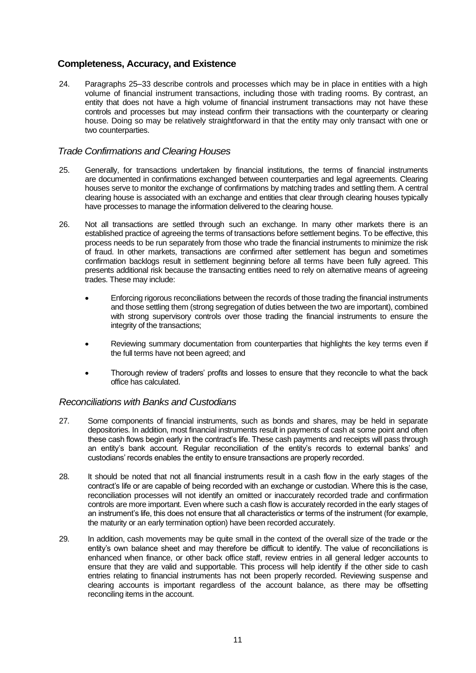# **Completeness, Accuracy, and Existence**

24. Paragraphs 25–33 describe controls and processes which may be in place in entities with a high volume of financial instrument transactions, including those with trading rooms. By contrast, an entity that does not have a high volume of financial instrument transactions may not have these controls and processes but may instead confirm their transactions with the counterparty or clearing house. Doing so may be relatively straightforward in that the entity may only transact with one or two counterparties.

#### *Trade Confirmations and Clearing Houses*

- 25. Generally, for transactions undertaken by financial institutions, the terms of financial instruments are documented in confirmations exchanged between counterparties and legal agreements. Clearing houses serve to monitor the exchange of confirmations by matching trades and settling them. A central clearing house is associated with an exchange and entities that clear through clearing houses typically have processes to manage the information delivered to the clearing house.
- 26. Not all transactions are settled through such an exchange. In many other markets there is an established practice of agreeing the terms of transactions before settlement begins. To be effective, this process needs to be run separately from those who trade the financial instruments to minimize the risk of fraud. In other markets, transactions are confirmed after settlement has begun and sometimes confirmation backlogs result in settlement beginning before all terms have been fully agreed. This presents additional risk because the transacting entities need to rely on alternative means of agreeing trades. These may include:
	- Enforcing rigorous reconciliations between the records of those trading the financial instruments and those settling them (strong segregation of duties between the two are important), combined with strong supervisory controls over those trading the financial instruments to ensure the integrity of the transactions;
	- Reviewing summary documentation from counterparties that highlights the key terms even if the full terms have not been agreed; and
	- Thorough review of traders' profits and losses to ensure that they reconcile to what the back office has calculated.

# *Reconciliations with Banks and Custodians*

- 27. Some components of financial instruments, such as bonds and shares, may be held in separate depositories. In addition, most financial instruments result in payments of cash at some point and often these cash flows begin early in the contract's life. These cash payments and receipts will pass through an entity's bank account. Regular reconciliation of the entity's records to external banks' and custodians' records enables the entity to ensure transactions are properly recorded.
- 28. It should be noted that not all financial instruments result in a cash flow in the early stages of the contract's life or are capable of being recorded with an exchange or custodian. Where this is the case, reconciliation processes will not identify an omitted or inaccurately recorded trade and confirmation controls are more important. Even where such a cash flow is accurately recorded in the early stages of an instrument's life, this does not ensure that all characteristics or terms of the instrument (for example, the maturity or an early termination option) have been recorded accurately.
- 29. In addition, cash movements may be quite small in the context of the overall size of the trade or the entity's own balance sheet and may therefore be difficult to identify. The value of reconciliations is enhanced when finance, or other back office staff, review entries in all general ledger accounts to ensure that they are valid and supportable. This process will help identify if the other side to cash entries relating to financial instruments has not been properly recorded. Reviewing suspense and clearing accounts is important regardless of the account balance, as there may be offsetting reconciling items in the account.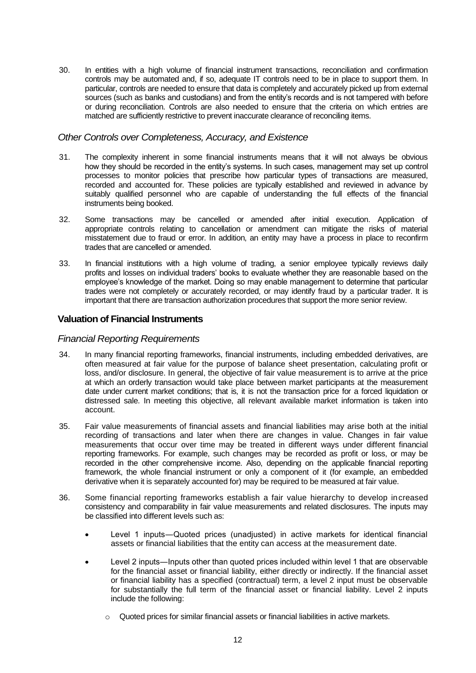30. In entities with a high volume of financial instrument transactions, reconciliation and confirmation controls may be automated and, if so, adequate IT controls need to be in place to support them. In particular, controls are needed to ensure that data is completely and accurately picked up from external sources (such as banks and custodians) and from the entity's records and is not tampered with before or during reconciliation. Controls are also needed to ensure that the criteria on which entries are matched are sufficiently restrictive to prevent inaccurate clearance of reconciling items.

#### *Other Controls over Completeness, Accuracy, and Existence*

- 31. The complexity inherent in some financial instruments means that it will not always be obvious how they should be recorded in the entity's systems. In such cases, management may set up control processes to monitor policies that prescribe how particular types of transactions are measured, recorded and accounted for. These policies are typically established and reviewed in advance by suitably qualified personnel who are capable of understanding the full effects of the financial instruments being booked.
- 32. Some transactions may be cancelled or amended after initial execution. Application of appropriate controls relating to cancellation or amendment can mitigate the risks of material misstatement due to fraud or error. In addition, an entity may have a process in place to reconfirm trades that are cancelled or amended.
- 33. In financial institutions with a high volume of trading, a senior employee typically reviews daily profits and losses on individual traders' books to evaluate whether they are reasonable based on the employee's knowledge of the market. Doing so may enable management to determine that particular trades were not completely or accurately recorded, or may identify fraud by a particular trader. It is important that there are transaction authorization procedures that support the more senior review.

# **Valuation of Financial Instruments**

#### *Financial Reporting Requirements*

- 34. In many financial reporting frameworks, financial instruments, including embedded derivatives, are often measured at fair value for the purpose of balance sheet presentation, calculating profit or loss, and/or disclosure. In general, the objective of fair value measurement is to arrive at the price at which an orderly transaction would take place between market participants at the measurement date under current market conditions; that is, it is not the transaction price for a forced liquidation or distressed sale. In meeting this objective, all relevant available market information is taken into account.
- 35. Fair value measurements of financial assets and financial liabilities may arise both at the initial recording of transactions and later when there are changes in value. Changes in fair value measurements that occur over time may be treated in different ways under different financial reporting frameworks. For example, such changes may be recorded as profit or loss, or may be recorded in the other comprehensive income. Also, depending on the applicable financial reporting framework, the whole financial instrument or only a component of it (for example, an embedded derivative when it is separately accounted for) may be required to be measured at fair value.
- 36. Some financial reporting frameworks establish a fair value hierarchy to develop increased consistency and comparability in fair value measurements and related disclosures. The inputs may be classified into different levels such as:
	- Level 1 inputs—Quoted prices (unadjusted) in active markets for identical financial assets or financial liabilities that the entity can access at the measurement date.
	- Level 2 inputs—Inputs other than quoted prices included within level 1 that are observable for the financial asset or financial liability, either directly or indirectly. If the financial asset or financial liability has a specified (contractual) term, a level 2 input must be observable for substantially the full term of the financial asset or financial liability. Level 2 inputs include the following:
		- o Quoted prices for similar financial assets or financial liabilities in active markets.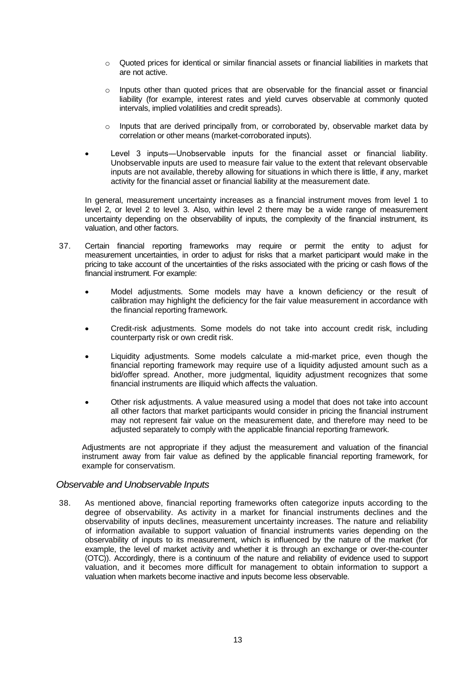- $\circ$  Quoted prices for identical or similar financial assets or financial liabilities in markets that are not active.
- $\circ$  Inputs other than quoted prices that are observable for the financial asset or financial liability (for example, interest rates and yield curves observable at commonly quoted intervals, implied volatilities and credit spreads).
- $\circ$  Inputs that are derived principally from, or corroborated by, observable market data by correlation or other means (market-corroborated inputs).
- Level 3 inputs―Unobservable inputs for the financial asset or financial liability. Unobservable inputs are used to measure fair value to the extent that relevant observable inputs are not available, thereby allowing for situations in which there is little, if any, market activity for the financial asset or financial liability at the measurement date.

In general, measurement uncertainty increases as a financial instrument moves from level 1 to level 2, or level 2 to level 3. Also, within level 2 there may be a wide range of measurement uncertainty depending on the observability of inputs, the complexity of the financial instrument, its valuation, and other factors.

- 37. Certain financial reporting frameworks may require or permit the entity to adjust for measurement uncertainties, in order to adjust for risks that a market participant would make in the pricing to take account of the uncertainties of the risks associated with the pricing or cash flows of the financial instrument. For example:
	- Model adjustments. Some models may have a known deficiency or the result of calibration may highlight the deficiency for the fair value measurement in accordance with the financial reporting framework.
	- Credit-risk adjustments. Some models do not take into account credit risk, including counterparty risk or own credit risk.
	- Liquidity adjustments. Some models calculate a mid-market price, even though the financial reporting framework may require use of a liquidity adjusted amount such as a bid/offer spread. Another, more judgmental, liquidity adjustment recognizes that some financial instruments are illiquid which affects the valuation.
	- Other risk adjustments. A value measured using a model that does not take into account all other factors that market participants would consider in pricing the financial instrument may not represent fair value on the measurement date, and therefore may need to be adjusted separately to comply with the applicable financial reporting framework.

Adjustments are not appropriate if they adjust the measurement and valuation of the financial instrument away from fair value as defined by the applicable financial reporting framework, for example for conservatism.

#### *Observable and Unobservable Inputs*

38. As mentioned above, financial reporting frameworks often categorize inputs according to the degree of observability. As activity in a market for financial instruments declines and the observability of inputs declines, measurement uncertainty increases. The nature and reliability of information available to support valuation of financial instruments varies depending on the observability of inputs to its measurement, which is influenced by the nature of the market (for example, the level of market activity and whether it is through an exchange or over-the-counter (OTC)). Accordingly, there is a continuum of the nature and reliability of evidence used to support valuation, and it becomes more difficult for management to obtain information to support a valuation when markets become inactive and inputs become less observable.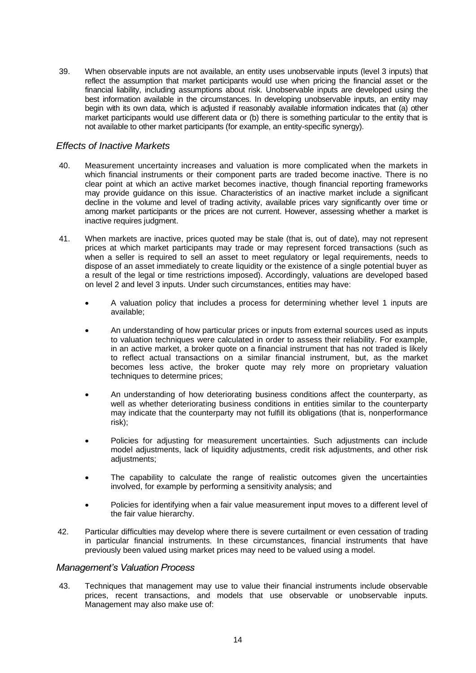39. When observable inputs are not available, an entity uses unobservable inputs (level 3 inputs) that reflect the assumption that market participants would use when pricing the financial asset or the financial liability, including assumptions about risk. Unobservable inputs are developed using the best information available in the circumstances. In developing unobservable inputs, an entity may begin with its own data, which is adjusted if reasonably available information indicates that (a) other market participants would use different data or (b) there is something particular to the entity that is not available to other market participants (for example, an entity-specific synergy).

#### *Effects of Inactive Markets*

- 40. Measurement uncertainty increases and valuation is more complicated when the markets in which financial instruments or their component parts are traded become inactive. There is no clear point at which an active market becomes inactive, though financial reporting frameworks may provide guidance on this issue. Characteristics of an inactive market include a significant decline in the volume and level of trading activity, available prices vary significantly over time or among market participants or the prices are not current. However, assessing whether a market is inactive requires judgment.
- 41. When markets are inactive, prices quoted may be stale (that is, out of date), may not represent prices at which market participants may trade or may represent forced transactions (such as when a seller is required to sell an asset to meet regulatory or legal requirements, needs to dispose of an asset immediately to create liquidity or the existence of a single potential buyer as a result of the legal or time restrictions imposed). Accordingly, valuations are developed based on level 2 and level 3 inputs. Under such circumstances, entities may have:
	- A valuation policy that includes a process for determining whether level 1 inputs are available;
	- An understanding of how particular prices or inputs from external sources used as inputs to valuation techniques were calculated in order to assess their reliability. For example, in an active market, a broker quote on a financial instrument that has not traded is likely to reflect actual transactions on a similar financial instrument, but, as the market becomes less active, the broker quote may rely more on proprietary valuation techniques to determine prices;
	- An understanding of how deteriorating business conditions affect the counterparty, as well as whether deteriorating business conditions in entities similar to the counterparty may indicate that the counterparty may not fulfill its obligations (that is, nonperformance risk);
	- Policies for adjusting for measurement uncertainties. Such adjustments can include model adjustments, lack of liquidity adjustments, credit risk adjustments, and other risk adjustments;
	- The capability to calculate the range of realistic outcomes given the uncertainties involved, for example by performing a sensitivity analysis; and
	- Policies for identifying when a fair value measurement input moves to a different level of the fair value hierarchy.
- 42. Particular difficulties may develop where there is severe curtailment or even cessation of trading in particular financial instruments. In these circumstances, financial instruments that have previously been valued using market prices may need to be valued using a model.

#### *Management's Valuation Process*

43. Techniques that management may use to value their financial instruments include observable prices, recent transactions, and models that use observable or unobservable inputs. Management may also make use of: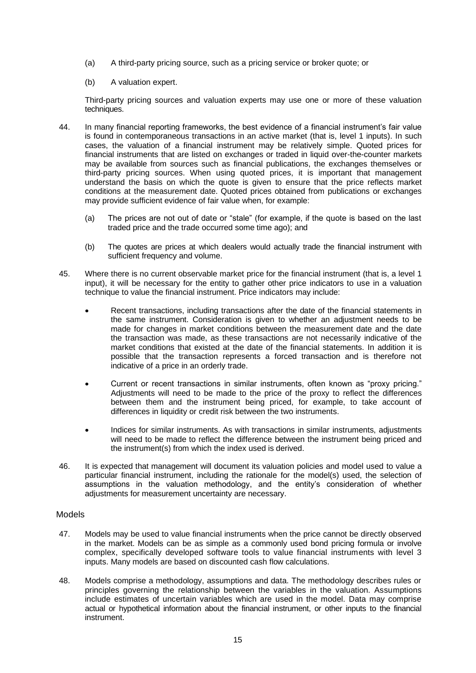- (a) A third-party pricing source, such as a pricing service or broker quote; or
- (b) A valuation expert.

Third-party pricing sources and valuation experts may use one or more of these valuation techniques.

- 44. In many financial reporting frameworks, the best evidence of a financial instrument's fair value is found in contemporaneous transactions in an active market (that is, level 1 inputs). In such cases, the valuation of a financial instrument may be relatively simple. Quoted prices for financial instruments that are listed on exchanges or traded in liquid over-the-counter markets may be available from sources such as financial publications, the exchanges themselves or third-party pricing sources. When using quoted prices, it is important that management understand the basis on which the quote is given to ensure that the price reflects market conditions at the measurement date. Quoted prices obtained from publications or exchanges may provide sufficient evidence of fair value when, for example:
	- (a) The prices are not out of date or "stale" (for example, if the quote is based on the last traded price and the trade occurred some time ago); and
	- (b) The quotes are prices at which dealers would actually trade the financial instrument with sufficient frequency and volume.
- 45. Where there is no current observable market price for the financial instrument (that is, a level 1 input), it will be necessary for the entity to gather other price indicators to use in a valuation technique to value the financial instrument. Price indicators may include:
	- Recent transactions, including transactions after the date of the financial statements in the same instrument. Consideration is given to whether an adjustment needs to be made for changes in market conditions between the measurement date and the date the transaction was made, as these transactions are not necessarily indicative of the market conditions that existed at the date of the financial statements. In addition it is possible that the transaction represents a forced transaction and is therefore not indicative of a price in an orderly trade.
	- Current or recent transactions in similar instruments, often known as "proxy pricing." Adjustments will need to be made to the price of the proxy to reflect the differences between them and the instrument being priced, for example, to take account of differences in liquidity or credit risk between the two instruments.
	- Indices for similar instruments. As with transactions in similar instruments, adjustments will need to be made to reflect the difference between the instrument being priced and the instrument(s) from which the index used is derived.
- 46. It is expected that management will document its valuation policies and model used to value a particular financial instrument, including the rationale for the model(s) used, the selection of assumptions in the valuation methodology, and the entity's consideration of whether adjustments for measurement uncertainty are necessary.

#### Models

- 47. Models may be used to value financial instruments when the price cannot be directly observed in the market. Models can be as simple as a commonly used bond pricing formula or involve complex, specifically developed software tools to value financial instruments with level 3 inputs. Many models are based on discounted cash flow calculations.
- 48. Models comprise a methodology, assumptions and data. The methodology describes rules or principles governing the relationship between the variables in the valuation. Assumptions include estimates of uncertain variables which are used in the model. Data may comprise actual or hypothetical information about the financial instrument, or other inputs to the financial instrument.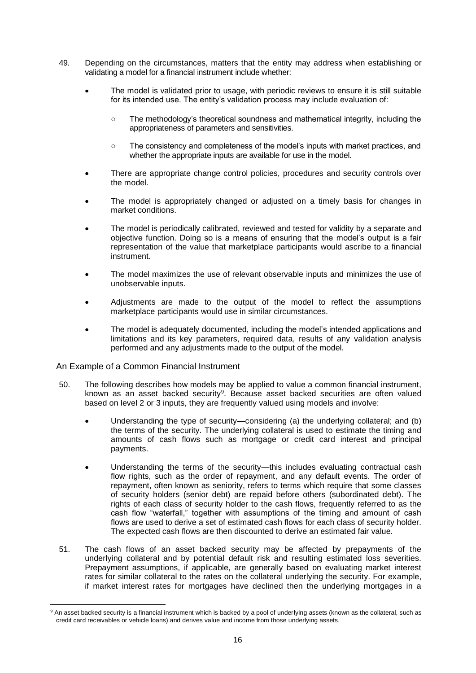- 49. Depending on the circumstances, matters that the entity may address when establishing or validating a model for a financial instrument include whether:
	- The model is validated prior to usage, with periodic reviews to ensure it is still suitable for its intended use. The entity's validation process may include evaluation of:
		- The methodology's theoretical soundness and mathematical integrity, including the appropriateness of parameters and sensitivities.
		- The consistency and completeness of the model's inputs with market practices, and whether the appropriate inputs are available for use in the model.
	- There are appropriate change control policies, procedures and security controls over the model.
	- The model is appropriately changed or adjusted on a timely basis for changes in market conditions.
	- The model is periodically calibrated, reviewed and tested for validity by a separate and objective function. Doing so is a means of ensuring that the model's output is a fair representation of the value that marketplace participants would ascribe to a financial instrument.
	- The model maximizes the use of relevant observable inputs and minimizes the use of unobservable inputs.
	- Adjustments are made to the output of the model to reflect the assumptions marketplace participants would use in similar circumstances.
	- The model is adequately documented, including the model's intended applications and limitations and its key parameters, required data, results of any validation analysis performed and any adjustments made to the output of the model.

An Example of a Common Financial Instrument

- 50. The following describes how models may be applied to value a common financial instrument, known as an asset backed security<sup>9</sup>. Because asset backed securities are often valued based on level 2 or 3 inputs, they are frequently valued using models and involve:
	- Understanding the type of security—considering (a) the underlying collateral; and (b) the terms of the security. The underlying collateral is used to estimate the timing and amounts of cash flows such as mortgage or credit card interest and principal payments.
	- Understanding the terms of the security—this includes evaluating contractual cash flow rights, such as the order of repayment, and any default events. The order of repayment, often known as seniority, refers to terms which require that some classes of security holders (senior debt) are repaid before others (subordinated debt). The rights of each class of security holder to the cash flows, frequently referred to as the cash flow "waterfall," together with assumptions of the timing and amount of cash flows are used to derive a set of estimated cash flows for each class of security holder. The expected cash flows are then discounted to derive an estimated fair value.
- 51. The cash flows of an asset backed security may be affected by prepayments of the underlying collateral and by potential default risk and resulting estimated loss severities. Prepayment assumptions, if applicable, are generally based on evaluating market interest rates for similar collateral to the rates on the collateral underlying the security. For example, if market interest rates for mortgages have declined then the underlying mortgages in a

<sup>&</sup>lt;sup>9</sup> An asset backed security is a financial instrument which is backed by a pool of underlying assets (known as the collateral, such as credit card receivables or vehicle loans) and derives value and income from those underlying assets.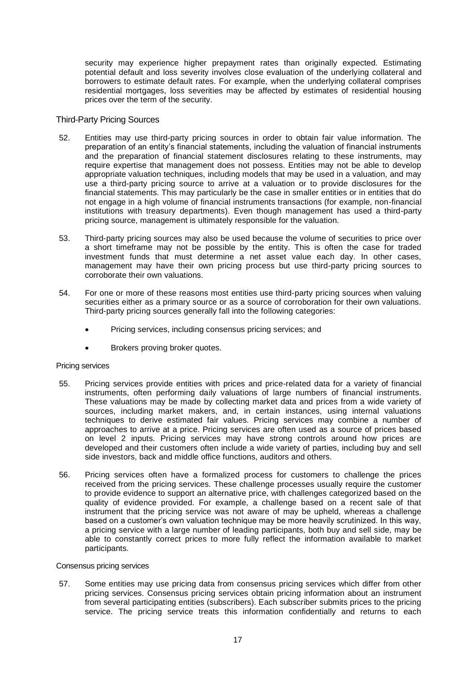security may experience higher prepayment rates than originally expected. Estimating potential default and loss severity involves close evaluation of the underlying collateral and borrowers to estimate default rates. For example, when the underlying collateral comprises residential mortgages, loss severities may be affected by estimates of residential housing prices over the term of the security.

#### Third-Party Pricing Sources

- 52. Entities may use third-party pricing sources in order to obtain fair value information. The preparation of an entity's financial statements, including the valuation of financial instruments and the preparation of financial statement disclosures relating to these instruments, may require expertise that management does not possess. Entities may not be able to develop appropriate valuation techniques, including models that may be used in a valuation, and may use a third-party pricing source to arrive at a valuation or to provide disclosures for the financial statements. This may particularly be the case in smaller entities or in entities that do not engage in a high volume of financial instruments transactions (for example, non-financial institutions with treasury departments). Even though management has used a third-party pricing source, management is ultimately responsible for the valuation.
- 53. Third-party pricing sources may also be used because the volume of securities to price over a short timeframe may not be possible by the entity. This is often the case for traded investment funds that must determine a net asset value each day. In other cases, management may have their own pricing process but use third-party pricing sources to corroborate their own valuations.
- 54. For one or more of these reasons most entities use third-party pricing sources when valuing securities either as a primary source or as a source of corroboration for their own valuations. Third-party pricing sources generally fall into the following categories:
	- Pricing services, including consensus pricing services; and
	- Brokers proving broker quotes.

#### Pricing services

- 55. Pricing services provide entities with prices and price-related data for a variety of financial instruments, often performing daily valuations of large numbers of financial instruments. These valuations may be made by collecting market data and prices from a wide variety of sources, including market makers, and, in certain instances, using internal valuations techniques to derive estimated fair values. Pricing services may combine a number of approaches to arrive at a price. Pricing services are often used as a source of prices based on level 2 inputs. Pricing services may have strong controls around how prices are developed and their customers often include a wide variety of parties, including buy and sell side investors, back and middle office functions, auditors and others.
- 56. Pricing services often have a formalized process for customers to challenge the prices received from the pricing services. These challenge processes usually require the customer to provide evidence to support an alternative price, with challenges categorized based on the quality of evidence provided. For example, a challenge based on a recent sale of that instrument that the pricing service was not aware of may be upheld, whereas a challenge based on a customer's own valuation technique may be more heavily scrutinized. In this way, a pricing service with a large number of leading participants, both buy and sell side, may be able to constantly correct prices to more fully reflect the information available to market participants.

#### Consensus pricing services

57. Some entities may use pricing data from consensus pricing services which differ from other pricing services. Consensus pricing services obtain pricing information about an instrument from several participating entities (subscribers). Each subscriber submits prices to the pricing service. The pricing service treats this information confidentially and returns to each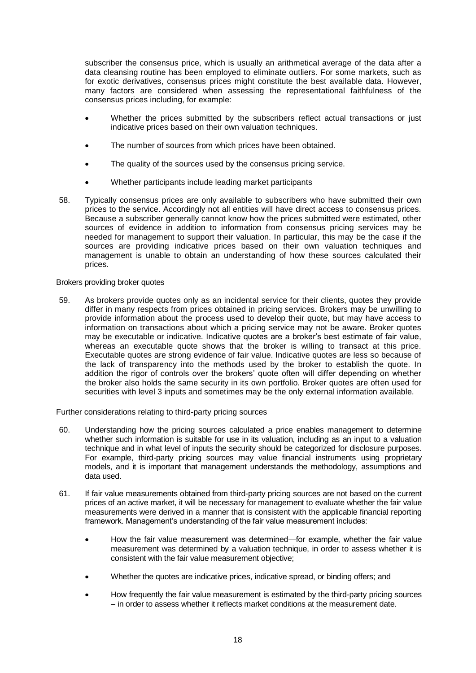subscriber the consensus price, which is usually an arithmetical average of the data after a data cleansing routine has been employed to eliminate outliers. For some markets, such as for exotic derivatives, consensus prices might constitute the best available data. However, many factors are considered when assessing the representational faithfulness of the consensus prices including, for example:

- Whether the prices submitted by the subscribers reflect actual transactions or just indicative prices based on their own valuation techniques.
- The number of sources from which prices have been obtained.
- The quality of the sources used by the consensus pricing service.
- Whether participants include leading market participants
- 58. Typically consensus prices are only available to subscribers who have submitted their own prices to the service. Accordingly not all entities will have direct access to consensus prices. Because a subscriber generally cannot know how the prices submitted were estimated, other sources of evidence in addition to information from consensus pricing services may be needed for management to support their valuation. In particular, this may be the case if the sources are providing indicative prices based on their own valuation techniques and management is unable to obtain an understanding of how these sources calculated their prices.

#### Brokers providing broker quotes

59. As brokers provide quotes only as an incidental service for their clients, quotes they provide differ in many respects from prices obtained in pricing services. Brokers may be unwilling to provide information about the process used to develop their quote, but may have access to information on transactions about which a pricing service may not be aware. Broker quotes may be executable or indicative. Indicative quotes are a broker's best estimate of fair value, whereas an executable quote shows that the broker is willing to transact at this price. Executable quotes are strong evidence of fair value. Indicative quotes are less so because of the lack of transparency into the methods used by the broker to establish the quote. In addition the rigor of controls over the brokers' quote often will differ depending on whether the broker also holds the same security in its own portfolio. Broker quotes are often used for securities with level 3 inputs and sometimes may be the only external information available.

Further considerations relating to third-party pricing sources

- 60. Understanding how the pricing sources calculated a price enables management to determine whether such information is suitable for use in its valuation, including as an input to a valuation technique and in what level of inputs the security should be categorized for disclosure purposes. For example, third-party pricing sources may value financial instruments using proprietary models, and it is important that management understands the methodology, assumptions and data used.
- 61. If fair value measurements obtained from third-party pricing sources are not based on the current prices of an active market, it will be necessary for management to evaluate whether the fair value measurements were derived in a manner that is consistent with the applicable financial reporting framework. Management's understanding of the fair value measurement includes:
	- How the fair value measurement was determined—for example, whether the fair value measurement was determined by a valuation technique, in order to assess whether it is consistent with the fair value measurement objective;
	- Whether the quotes are indicative prices, indicative spread, or binding offers; and
	- How frequently the fair value measurement is estimated by the third-party pricing sources – in order to assess whether it reflects market conditions at the measurement date.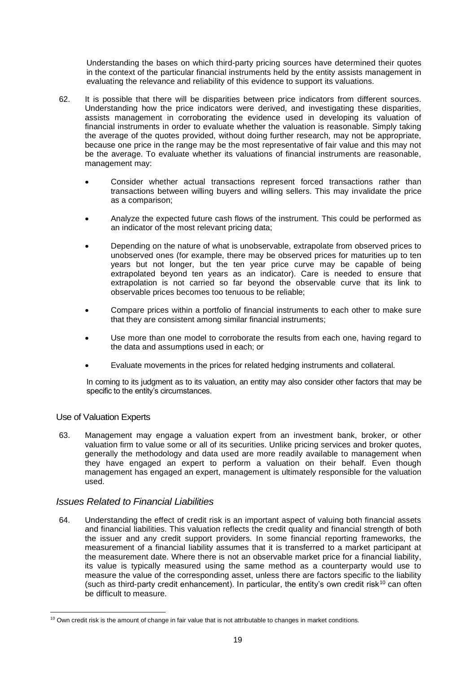Understanding the bases on which third-party pricing sources have determined their quotes in the context of the particular financial instruments held by the entity assists management in evaluating the relevance and reliability of this evidence to support its valuations.

- 62. It is possible that there will be disparities between price indicators from different sources. Understanding how the price indicators were derived, and investigating these disparities, assists management in corroborating the evidence used in developing its valuation of financial instruments in order to evaluate whether the valuation is reasonable. Simply taking the average of the quotes provided, without doing further research, may not be appropriate, because one price in the range may be the most representative of fair value and this may not be the average. To evaluate whether its valuations of financial instruments are reasonable, management may:
	- Consider whether actual transactions represent forced transactions rather than transactions between willing buyers and willing sellers. This may invalidate the price as a comparison;
	- Analyze the expected future cash flows of the instrument. This could be performed as an indicator of the most relevant pricing data;
	- Depending on the nature of what is unobservable, extrapolate from observed prices to unobserved ones (for example, there may be observed prices for maturities up to ten years but not longer, but the ten year price curve may be capable of being extrapolated beyond ten years as an indicator). Care is needed to ensure that extrapolation is not carried so far beyond the observable curve that its link to observable prices becomes too tenuous to be reliable;
	- Compare prices within a portfolio of financial instruments to each other to make sure that they are consistent among similar financial instruments;
	- Use more than one model to corroborate the results from each one, having regard to the data and assumptions used in each; or
	- Evaluate movements in the prices for related hedging instruments and collateral.

In coming to its judgment as to its valuation, an entity may also consider other factors that may be specific to the entity's circumstances.

#### Use of Valuation Experts

63. Management may engage a valuation expert from an investment bank, broker, or other valuation firm to value some or all of its securities. Unlike pricing services and broker quotes, generally the methodology and data used are more readily available to management when they have engaged an expert to perform a valuation on their behalf. Even though management has engaged an expert, management is ultimately responsible for the valuation used.

# *Issues Related to Financial Liabilities*

64. Understanding the effect of credit risk is an important aspect of valuing both financial assets and financial liabilities. This valuation reflects the credit quality and financial strength of both the issuer and any credit support providers. In some financial reporting frameworks, the measurement of a financial liability assumes that it is transferred to a market participant at the measurement date. Where there is not an observable market price for a financial liability, its value is typically measured using the same method as a counterparty would use to measure the value of the corresponding asset, unless there are factors specific to the liability (such as third-party credit enhancement). In particular, the entity's own credit risk<sup>10</sup> can often be difficult to measure.

 $10$  Own credit risk is the amount of change in fair value that is not attributable to changes in market conditions.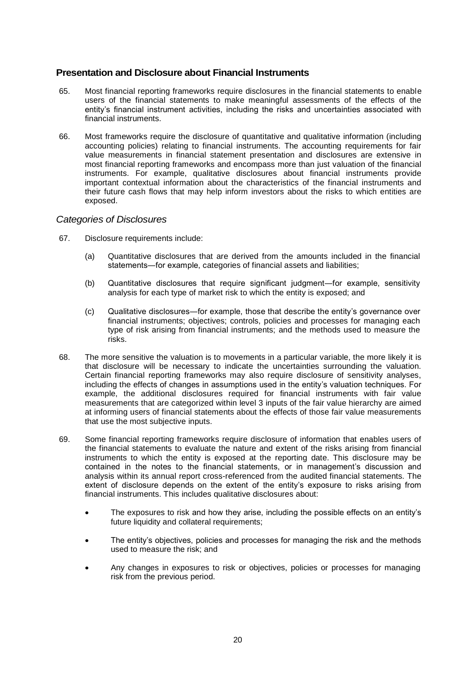# **Presentation and Disclosure about Financial Instruments**

- 65. Most financial reporting frameworks require disclosures in the financial statements to enable users of the financial statements to make meaningful assessments of the effects of the entity's financial instrument activities, including the risks and uncertainties associated with financial instruments.
- 66. Most frameworks require the disclosure of quantitative and qualitative information (including accounting policies) relating to financial instruments. The accounting requirements for fair value measurements in financial statement presentation and disclosures are extensive in most financial reporting frameworks and encompass more than just valuation of the financial instruments. For example, qualitative disclosures about financial instruments provide important contextual information about the characteristics of the financial instruments and their future cash flows that may help inform investors about the risks to which entities are exposed.

# *Categories of Disclosures*

- 67. Disclosure requirements include:
	- (a) Quantitative disclosures that are derived from the amounts included in the financial statements―for example, categories of financial assets and liabilities;
	- (b) Quantitative disclosures that require significant judgment―for example, sensitivity analysis for each type of market risk to which the entity is exposed; and
	- (c) Qualitative disclosures―for example, those that describe the entity's governance over financial instruments; objectives; controls, policies and processes for managing each type of risk arising from financial instruments; and the methods used to measure the risks.
- 68. The more sensitive the valuation is to movements in a particular variable, the more likely it is that disclosure will be necessary to indicate the uncertainties surrounding the valuation. Certain financial reporting frameworks may also require disclosure of sensitivity analyses, including the effects of changes in assumptions used in the entity's valuation techniques. For example, the additional disclosures required for financial instruments with fair value measurements that are categorized within level 3 inputs of the fair value hierarchy are aimed at informing users of financial statements about the effects of those fair value measurements that use the most subjective inputs.
- 69. Some financial reporting frameworks require disclosure of information that enables users of the financial statements to evaluate the nature and extent of the risks arising from financial instruments to which the entity is exposed at the reporting date. This disclosure may be contained in the notes to the financial statements, or in management's discussion and analysis within its annual report cross-referenced from the audited financial statements. The extent of disclosure depends on the extent of the entity's exposure to risks arising from financial instruments. This includes qualitative disclosures about:
	- The exposures to risk and how they arise, including the possible effects on an entity's future liquidity and collateral requirements;
	- The entity's objectives, policies and processes for managing the risk and the methods used to measure the risk; and
	- Any changes in exposures to risk or objectives, policies or processes for managing risk from the previous period.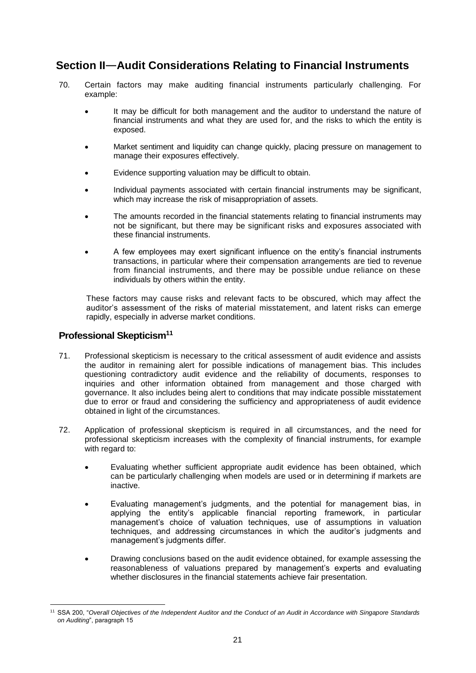# **Section II**―**Audit Considerations Relating to Financial Instruments**

- 70. Certain factors may make auditing financial instruments particularly challenging. For example:
	- It may be difficult for both management and the auditor to understand the nature of financial instruments and what they are used for, and the risks to which the entity is exposed.
	- Market sentiment and liquidity can change quickly, placing pressure on management to manage their exposures effectively.
	- Evidence supporting valuation may be difficult to obtain.
	- Individual payments associated with certain financial instruments may be significant, which may increase the risk of misappropriation of assets.
	- The amounts recorded in the financial statements relating to financial instruments may not be significant, but there may be significant risks and exposures associated with these financial instruments.
	- A few employees may exert significant influence on the entity's financial instruments transactions, in particular where their compensation arrangements are tied to revenue from financial instruments, and there may be possible undue reliance on these individuals by others within the entity.

These factors may cause risks and relevant facts to be obscured, which may affect the auditor's assessment of the risks of material misstatement, and latent risks can emerge rapidly, especially in adverse market conditions.

# **Professional Skepticism<sup>11</sup>**

- 71. Professional skepticism is necessary to the critical assessment of audit evidence and assists the auditor in remaining alert for possible indications of management bias. This includes questioning contradictory audit evidence and the reliability of documents, responses to inquiries and other information obtained from management and those charged with governance. It also includes being alert to conditions that may indicate possible misstatement due to error or fraud and considering the sufficiency and appropriateness of audit evidence obtained in light of the circumstances.
- 72. Application of professional skepticism is required in all circumstances, and the need for professional skepticism increases with the complexity of financial instruments, for example with regard to:
	- Evaluating whether sufficient appropriate audit evidence has been obtained, which can be particularly challenging when models are used or in determining if markets are inactive.
	- Evaluating management's judgments, and the potential for management bias, in applying the entity's applicable financial reporting framework, in particular management's choice of valuation techniques, use of assumptions in valuation techniques, and addressing circumstances in which the auditor's judgments and management's judgments differ.
	- Drawing conclusions based on the audit evidence obtained, for example assessing the reasonableness of valuations prepared by management's experts and evaluating whether disclosures in the financial statements achieve fair presentation.

<sup>11</sup> SSA 200, "*Overall Objectives of the Independent Auditor and the Conduct of an Audit in Accordance with Singapore Standards on Auditing*", paragraph 15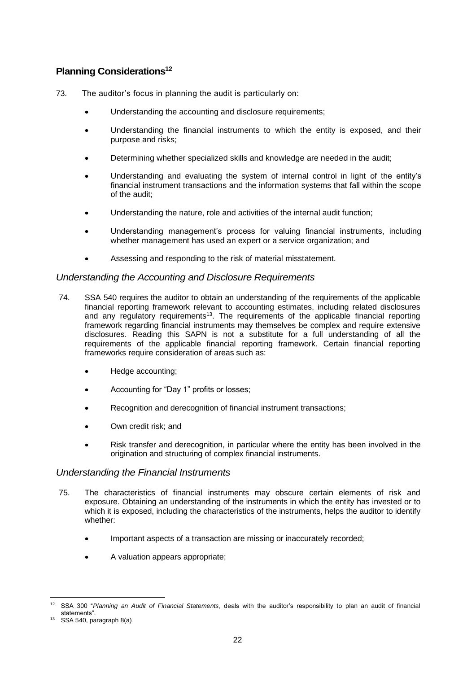# **Planning Considerations<sup>12</sup>**

- 73. The auditor's focus in planning the audit is particularly on:
	- Understanding the accounting and disclosure requirements;
	- Understanding the financial instruments to which the entity is exposed, and their purpose and risks;
	- Determining whether specialized skills and knowledge are needed in the audit;
	- Understanding and evaluating the system of internal control in light of the entity's financial instrument transactions and the information systems that fall within the scope of the audit;
	- Understanding the nature, role and activities of the internal audit function;
	- Understanding management's process for valuing financial instruments, including whether management has used an expert or a service organization; and
	- Assessing and responding to the risk of material misstatement.

#### *Understanding the Accounting and Disclosure Requirements*

- 74. SSA 540 requires the auditor to obtain an understanding of the requirements of the applicable financial reporting framework relevant to accounting estimates, including related disclosures and any requiatory requirements<sup>13</sup>. The requirements of the applicable financial reporting framework regarding financial instruments may themselves be complex and require extensive disclosures. Reading this SAPN is not a substitute for a full understanding of all the requirements of the applicable financial reporting framework. Certain financial reporting frameworks require consideration of areas such as:
	- Hedge accounting;
	- Accounting for "Day 1" profits or losses;
	- Recognition and derecognition of financial instrument transactions;
	- Own credit risk; and
	- Risk transfer and derecognition, in particular where the entity has been involved in the origination and structuring of complex financial instruments.

# *Understanding the Financial Instruments*

- 75. The characteristics of financial instruments may obscure certain elements of risk and exposure. Obtaining an understanding of the instruments in which the entity has invested or to which it is exposed, including the characteristics of the instruments, helps the auditor to identify whether:
	- Important aspects of a transaction are missing or inaccurately recorded;
	- A valuation appears appropriate;

<sup>12</sup> SSA 300 "*Planning an Audit of Financial Statements*, deals with the auditor's responsibility to plan an audit of financial statements".

 $13$  SSA 540, paragraph 8(a)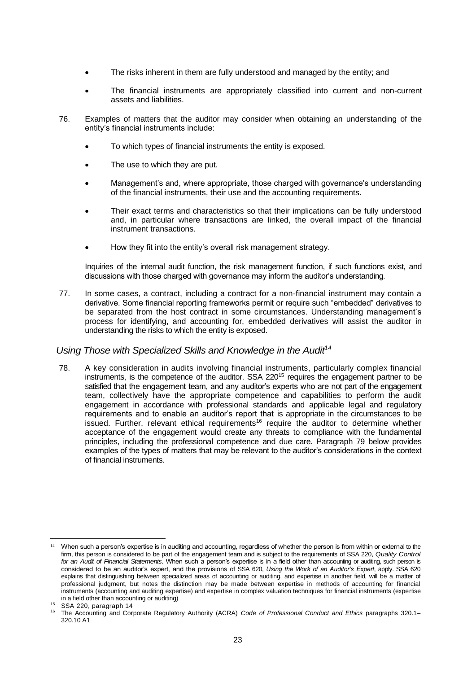- The risks inherent in them are fully understood and managed by the entity; and
- The financial instruments are appropriately classified into current and non-current assets and liabilities.
- 76. Examples of matters that the auditor may consider when obtaining an understanding of the entity's financial instruments include:
	- To which types of financial instruments the entity is exposed.
	- The use to which they are put.
	- Management's and, where appropriate, those charged with governance's understanding of the financial instruments, their use and the accounting requirements.
	- Their exact terms and characteristics so that their implications can be fully understood and, in particular where transactions are linked, the overall impact of the financial instrument transactions.
	- How they fit into the entity's overall risk management strategy.

Inquiries of the internal audit function, the risk management function, if such functions exist, and discussions with those charged with governance may inform the auditor's understanding.

77. In some cases, a contract, including a contract for a non-financial instrument may contain a derivative. Some financial reporting frameworks permit or require such "embedded" derivatives to be separated from the host contract in some circumstances. Understanding management's process for identifying, and accounting for, embedded derivatives will assist the auditor in understanding the risks to which the entity is exposed.

# *Using Those with Specialized Skills and Knowledge in the Audit<sup>14</sup>*

78. A key consideration in audits involving financial instruments, particularly complex financial instruments, is the competence of the auditor. SSA 220 $15$  requires the engagement partner to be satisfied that the engagement team, and any auditor's experts who are not part of the engagement team, collectively have the appropriate competence and capabilities to perform the audit engagement in accordance with professional standards and applicable legal and regulatory requirements and to enable an auditor's report that is appropriate in the circumstances to be issued. Further, relevant ethical requirements<sup>16</sup> require the auditor to determine whether acceptance of the engagement would create any threats to compliance with the fundamental principles, including the professional competence and due care. Paragraph 79 below provides examples of the types of matters that may be relevant to the auditor's considerations in the context of financial instruments.

<sup>&</sup>lt;sup>14</sup> When such a person's expertise is in auditing and accounting, regardless of whether the person is from within or external to the firm, this person is considered to be part of the engagement team and is subject to the requirements of SSA 220, *Quality Control*  for an Audit of Financial Statements. When such a person's expertise is in a field other than accounting or auditing, such person is considered to be an auditor's expert, and the provisions of SSA 620, *Using the Work of an Auditor's Expert*, apply. SSA 620 explains that distinguishing between specialized areas of accounting or auditing, and expertise in another field, will be a matter of professional judgment, but notes the distinction may be made between expertise in methods of accounting for financial instruments (accounting and auditing expertise) and expertise in complex valuation techniques for financial instruments (expertise in a field other than accounting or auditing)

<sup>15</sup> SSA 220, paragraph 14

<sup>16</sup> The Accounting and Corporate Regulatory Authority (ACRA) *Code of Professional Conduct and Ethics* paragraphs 320.1– 320.10 A1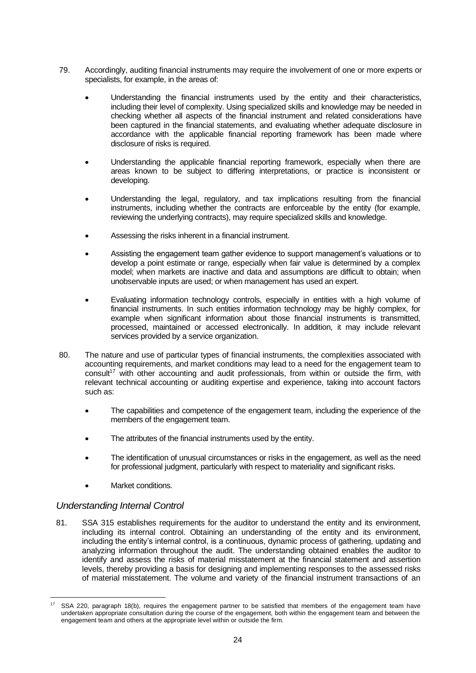- 79. Accordingly, auditing financial instruments may require the involvement of one or more experts or specialists, for example, in the areas of:
	- Understanding the financial instruments used by the entity and their characteristics, including their level of complexity. Using specialized skills and knowledge may be needed in checking whether all aspects of the financial instrument and related considerations have been captured in the financial statements, and evaluating whether adequate disclosure in accordance with the applicable financial reporting framework has been made where disclosure of risks is required.
	- Understanding the applicable financial reporting framework, especially when there are areas known to be subject to differing interpretations, or practice is inconsistent or developing.
	- Understanding the legal, regulatory, and tax implications resulting from the financial instruments, including whether the contracts are enforceable by the entity (for example, reviewing the underlying contracts), may require specialized skills and knowledge.
	- Assessing the risks inherent in a financial instrument.
	- Assisting the engagement team gather evidence to support management's valuations or to develop a point estimate or range, especially when fair value is determined by a complex model; when markets are inactive and data and assumptions are difficult to obtain; when unobservable inputs are used; or when management has used an expert.
	- Evaluating information technology controls, especially in entities with a high volume of financial instruments. In such entities information technology may be highly complex, for example when significant information about those financial instruments is transmitted, processed, maintained or accessed electronically. In addition, it may include relevant services provided by a service organization.
- 80. The nature and use of particular types of financial instruments, the complexities associated with accounting requirements, and market conditions may lead to a need for the engagement team to consult<sup>17</sup> with other accounting and audit professionals, from within or outside the firm, with relevant technical accounting or auditing expertise and experience, taking into account factors such as:
	- The capabilities and competence of the engagement team, including the experience of the members of the engagement team.
	- The attributes of the financial instruments used by the entity.
	- The identification of unusual circumstances or risks in the engagement, as well as the need for professional judgment, particularly with respect to materiality and significant risks.
	- Market conditions.

# *Understanding Internal Control*

81. SSA 315 establishes requirements for the auditor to understand the entity and its environment, including its internal control. Obtaining an understanding of the entity and its environment, including the entity's internal control, is a continuous, dynamic process of gathering, updating and analyzing information throughout the audit. The understanding obtained enables the auditor to identify and assess the risks of material misstatement at the financial statement and assertion levels, thereby providing a basis for designing and implementing responses to the assessed risks of material misstatement. The volume and variety of the financial instrument transactions of an

<sup>&</sup>lt;sup>17</sup> SSA 220, paragraph 18(b), requires the engagement partner to be satisfied that members of the engagement team have undertaken appropriate consultation during the course of the engagement, both within the engagement team and between the engagement team and others at the appropriate level within or outside the firm.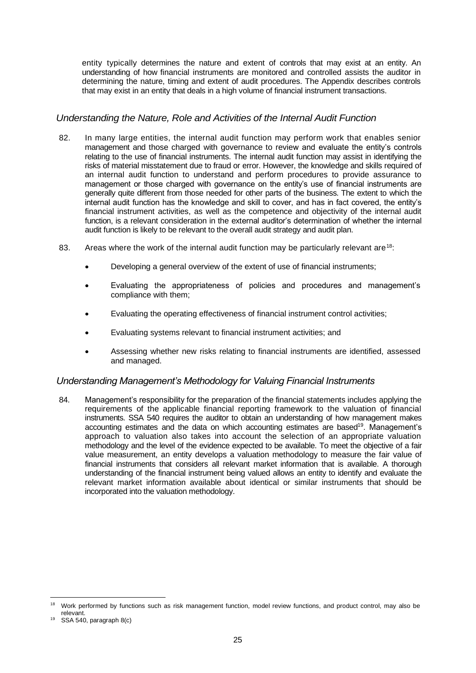entity typically determines the nature and extent of controls that may exist at an entity. An understanding of how financial instruments are monitored and controlled assists the auditor in determining the nature, timing and extent of audit procedures. The Appendix describes controls that may exist in an entity that deals in a high volume of financial instrument transactions.

# *Understanding the Nature, Role and Activities of the Internal Audit Function*

- 82. In many large entities, the internal audit function may perform work that enables senior management and those charged with governance to review and evaluate the entity's controls relating to the use of financial instruments. The internal audit function may assist in identifying the risks of material misstatement due to fraud or error. However, the knowledge and skills required of an internal audit function to understand and perform procedures to provide assurance to management or those charged with governance on the entity's use of financial instruments are generally quite different from those needed for other parts of the business. The extent to which the internal audit function has the knowledge and skill to cover, and has in fact covered, the entity's financial instrument activities, as well as the competence and objectivity of the internal audit function, is a relevant consideration in the external auditor's determination of whether the internal audit function is likely to be relevant to the overall audit strategy and audit plan.
- 83. Areas where the work of the internal audit function may be particularly relevant are<sup>18</sup>:
	- Developing a general overview of the extent of use of financial instruments;
	- Evaluating the appropriateness of policies and procedures and management's compliance with them;
	- Evaluating the operating effectiveness of financial instrument control activities;
	- Evaluating systems relevant to financial instrument activities; and
	- Assessing whether new risks relating to financial instruments are identified, assessed and managed.

# *Understanding Management's Methodology for Valuing Financial Instruments*

84. Management's responsibility for the preparation of the financial statements includes applying the requirements of the applicable financial reporting framework to the valuation of financial instruments. SSA 540 requires the auditor to obtain an understanding of how management makes accounting estimates and the data on which accounting estimates are based<sup>19</sup>. Management's approach to valuation also takes into account the selection of an appropriate valuation methodology and the level of the evidence expected to be available. To meet the objective of a fair value measurement, an entity develops a valuation methodology to measure the fair value of financial instruments that considers all relevant market information that is available. A thorough understanding of the financial instrument being valued allows an entity to identify and evaluate the relevant market information available about identical or similar instruments that should be incorporated into the valuation methodology.

<sup>&</sup>lt;sup>18</sup> Work performed by functions such as risk management function, model review functions, and product control, may also be relevant.

SSA 540, paragraph 8(c)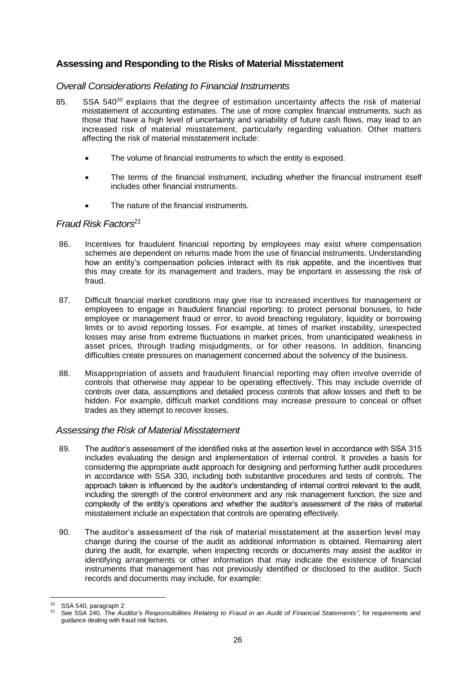# **Assessing and Responding to the Risks of Material Misstatement**

# *Overall Considerations Relating to Financial Instruments*

- 85. SSA 540<sup>20</sup> explains that the degree of estimation uncertainty affects the risk of material misstatement of accounting estimates. The use of more complex financial instruments, such as those that have a high level of uncertainty and variability of future cash flows, may lead to an increased risk of material misstatement, particularly regarding valuation. Other matters affecting the risk of material misstatement include:
	- The volume of financial instruments to which the entity is exposed.
	- The terms of the financial instrument, including whether the financial instrument itself includes other financial instruments.
	- The nature of the financial instruments.

# *Fraud Risk Factors<sup>21</sup>*

- 86. Incentives for fraudulent financial reporting by employees may exist where compensation schemes are dependent on returns made from the use of financial instruments. Understanding how an entity's compensation policies interact with its risk appetite, and the incentives that this may create for its management and traders, may be important in assessing the risk of fraud.
- 87. Difficult financial market conditions may give rise to increased incentives for management or employees to engage in fraudulent financial reporting: to protect personal bonuses, to hide employee or management fraud or error, to avoid breaching regulatory, liquidity or borrowing limits or to avoid reporting losses. For example, at times of market instability, unexpected losses may arise from extreme fluctuations in market prices, from unanticipated weakness in asset prices, through trading misjudgments, or for other reasons. In addition, financing difficulties create pressures on management concerned about the solvency of the business.
- 88. Misappropriation of assets and fraudulent financial reporting may often involve override of controls that otherwise may appear to be operating effectively. This may include override of controls over data, assumptions and detailed process controls that allow losses and theft to be hidden. For example, difficult market conditions may increase pressure to conceal or offset trades as they attempt to recover losses.

# *Assessing the Risk of Material Misstatement*

- 89. The auditor's assessment of the identified risks at the assertion level in accordance with SSA 315 includes evaluating the design and implementation of internal control. It provides a basis for considering the appropriate audit approach for designing and performing further audit procedures in accordance with SSA 330, including both substantive procedures and tests of controls. The approach taken is influenced by the auditor's understanding of internal control relevant to the audit, including the strength of the control environment and any risk management function, the size and complexity of the entity's operations and whether the auditor's assessment of the risks of material misstatement include an expectation that controls are operating effectively.
- 90. The auditor's assessment of the risk of material misstatement at the assertion level may change during the course of the audit as additional information is obtained. Remaining alert during the audit, for example, when inspecting records or documents may assist the auditor in identifying arrangements or other information that may indicate the existence of financial instruments that management has not previously identified or disclosed to the auditor. Such records and documents may include, for example:

<sup>20</sup> SSA 540, paragraph 2

See SSA 240, The Auditor's Responsibilities Relating to Fraud in an Audit of Financial Statements", for requirements and guidance dealing with fraud risk factors.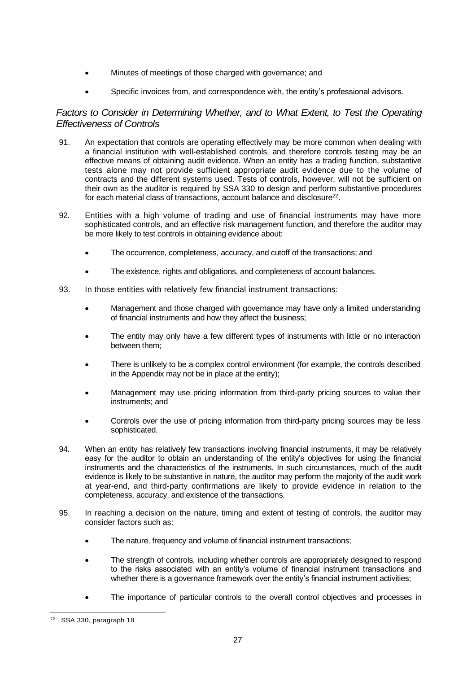- Minutes of meetings of those charged with governance; and
- Specific invoices from, and correspondence with, the entity's professional advisors.

# *Factors to Consider in Determining Whether, and to What Extent, to Test the Operating Effectiveness of Controls*

- 91. An expectation that controls are operating effectively may be more common when dealing with a financial institution with well-established controls, and therefore controls testing may be an effective means of obtaining audit evidence. When an entity has a trading function, substantive tests alone may not provide sufficient appropriate audit evidence due to the volume of contracts and the different systems used. Tests of controls, however, will not be sufficient on their own as the auditor is required by SSA 330 to design and perform substantive procedures for each material class of transactions, account balance and disclosure<sup>22</sup>.
- 92. Entities with a high volume of trading and use of financial instruments may have more sophisticated controls, and an effective risk management function, and therefore the auditor may be more likely to test controls in obtaining evidence about:
	- The occurrence, completeness, accuracy, and cutoff of the transactions; and
	- The existence, rights and obligations, and completeness of account balances.
- 93. In those entities with relatively few financial instrument transactions:
	- Management and those charged with governance may have only a limited understanding of financial instruments and how they affect the business;
	- The entity may only have a few different types of instruments with little or no interaction between them;
	- There is unlikely to be a complex control environment (for example, the controls described in the Appendix may not be in place at the entity);
	- Management may use pricing information from third-party pricing sources to value their instruments; and
	- Controls over the use of pricing information from third-party pricing sources may be less sophisticated.
- 94. When an entity has relatively few transactions involving financial instruments, it may be relatively easy for the auditor to obtain an understanding of the entity's objectives for using the financial instruments and the characteristics of the instruments. In such circumstances, much of the audit evidence is likely to be substantive in nature, the auditor may perform the majority of the audit work at year-end, and third-party confirmations are likely to provide evidence in relation to the completeness, accuracy, and existence of the transactions.
- 95. In reaching a decision on the nature, timing and extent of testing of controls, the auditor may consider factors such as:
	- The nature, frequency and volume of financial instrument transactions;
	- The strength of controls, including whether controls are appropriately designed to respond to the risks associated with an entity's volume of financial instrument transactions and whether there is a governance framework over the entity's financial instrument activities;
	- The importance of particular controls to the overall control objectives and processes in

<sup>22</sup> SSA 330, paragraph 18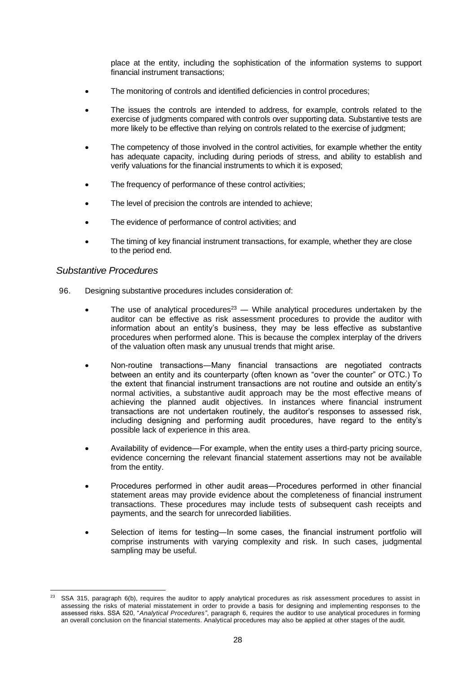place at the entity, including the sophistication of the information systems to support financial instrument transactions;

- The monitoring of controls and identified deficiencies in control procedures;
- The issues the controls are intended to address, for example, controls related to the exercise of judgments compared with controls over supporting data. Substantive tests are more likely to be effective than relying on controls related to the exercise of judgment;
- The competency of those involved in the control activities, for example whether the entity has adequate capacity, including during periods of stress, and ability to establish and verify valuations for the financial instruments to which it is exposed;
- The frequency of performance of these control activities;
- The level of precision the controls are intended to achieve;
- The evidence of performance of control activities; and
- The timing of key financial instrument transactions, for example, whether they are close to the period end.

#### *Substantive Procedures*

- 96. Designing substantive procedures includes consideration of:
	- The use of analytical procedures<sup>23</sup> While analytical procedures undertaken by the auditor can be effective as risk assessment procedures to provide the auditor with information about an entity's business, they may be less effective as substantive procedures when performed alone. This is because the complex interplay of the drivers of the valuation often mask any unusual trends that might arise.
	- Non-routine transactions―Many financial transactions are negotiated contracts between an entity and its counterparty (often known as "over the counter" or OTC.) To the extent that financial instrument transactions are not routine and outside an entity's normal activities, a substantive audit approach may be the most effective means of achieving the planned audit objectives. In instances where financial instrument transactions are not undertaken routinely, the auditor's responses to assessed risk, including designing and performing audit procedures, have regard to the entity's possible lack of experience in this area.
	- Availability of evidence―For example, when the entity uses a third-party pricing source, evidence concerning the relevant financial statement assertions may not be available from the entity.
	- Procedures performed in other audit areas―Procedures performed in other financial statement areas may provide evidence about the completeness of financial instrument transactions. These procedures may include tests of subsequent cash receipts and payments, and the search for unrecorded liabilities.
	- Selection of items for testing—In some cases, the financial instrument portfolio will comprise instruments with varying complexity and risk. In such cases, judgmental sampling may be useful.

SSA 315, paragraph 6(b), requires the auditor to apply analytical procedures as risk assessment procedures to assist in assessing the risks of material misstatement in order to provide a basis for designing and implementing responses to the assessed risks. SSA 520, "*Analytical Procedures"*, paragraph 6, requires the auditor to use analytical procedures in forming an overall conclusion on the financial statements. Analytical procedures may also be applied at other stages of the audit.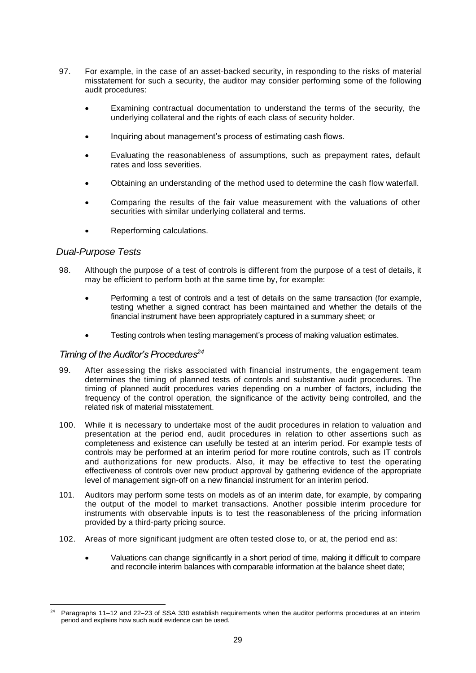- 97. For example, in the case of an asset-backed security, in responding to the risks of material misstatement for such a security, the auditor may consider performing some of the following audit procedures:
	- Examining contractual documentation to understand the terms of the security, the underlying collateral and the rights of each class of security holder.
	- Inquiring about management's process of estimating cash flows.
	- Evaluating the reasonableness of assumptions, such as prepayment rates, default rates and loss severities.
	- Obtaining an understanding of the method used to determine the cash flow waterfall.
	- Comparing the results of the fair value measurement with the valuations of other securities with similar underlying collateral and terms.
	- Reperforming calculations.

# *Dual-Purpose Tests*

- 98. Although the purpose of a test of controls is different from the purpose of a test of details, it may be efficient to perform both at the same time by, for example:
	- Performing a test of controls and a test of details on the same transaction (for example, testing whether a signed contract has been maintained and whether the details of the financial instrument have been appropriately captured in a summary sheet; or
	- Testing controls when testing management's process of making valuation estimates.

# *Timing of the Auditor's Procedures<sup>24</sup>*

- 99. After assessing the risks associated with financial instruments, the engagement team determines the timing of planned tests of controls and substantive audit procedures. The timing of planned audit procedures varies depending on a number of factors, including the frequency of the control operation, the significance of the activity being controlled, and the related risk of material misstatement.
- 100. While it is necessary to undertake most of the audit procedures in relation to valuation and presentation at the period end, audit procedures in relation to other assertions such as completeness and existence can usefully be tested at an interim period. For example tests of controls may be performed at an interim period for more routine controls, such as IT controls and authorizations for new products. Also, it may be effective to test the operating effectiveness of controls over new product approval by gathering evidence of the appropriate level of management sign-off on a new financial instrument for an interim period.
- 101. Auditors may perform some tests on models as of an interim date, for example, by comparing the output of the model to market transactions. Another possible interim procedure for instruments with observable inputs is to test the reasonableness of the pricing information provided by a third-party pricing source.
- 102. Areas of more significant judgment are often tested close to, or at, the period end as:
	- Valuations can change significantly in a short period of time, making it difficult to compare and reconcile interim balances with comparable information at the balance sheet date;

Paragraphs 11-12 and 22-23 of SSA 330 establish requirements when the auditor performs procedures at an interim period and explains how such audit evidence can be used.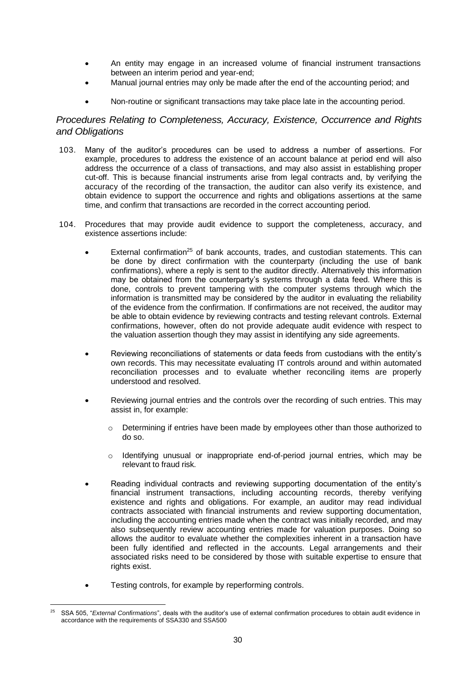- An entity may engage in an increased volume of financial instrument transactions between an interim period and year-end;
- Manual journal entries may only be made after the end of the accounting period; and
- Non-routine or significant transactions may take place late in the accounting period.

# *Procedures Relating to Completeness, Accuracy, Existence, Occurrence and Rights and Obligations*

- 103. Many of the auditor's procedures can be used to address a number of assertions. For example, procedures to address the existence of an account balance at period end will also address the occurrence of a class of transactions, and may also assist in establishing proper cut-off. This is because financial instruments arise from legal contracts and, by verifying the accuracy of the recording of the transaction, the auditor can also verify its existence, and obtain evidence to support the occurrence and rights and obligations assertions at the same time, and confirm that transactions are recorded in the correct accounting period.
- 104. Procedures that may provide audit evidence to support the completeness, accuracy, and existence assertions include:
	- External confirmation<sup>25</sup> of bank accounts, trades, and custodian statements. This can be done by direct confirmation with the counterparty (including the use of bank confirmations), where a reply is sent to the auditor directly. Alternatively this information may be obtained from the counterparty's systems through a data feed. Where this is done, controls to prevent tampering with the computer systems through which the information is transmitted may be considered by the auditor in evaluating the reliability of the evidence from the confirmation. If confirmations are not received, the auditor may be able to obtain evidence by reviewing contracts and testing relevant controls. External confirmations, however, often do not provide adequate audit evidence with respect to the valuation assertion though they may assist in identifying any side agreements.
	- Reviewing reconciliations of statements or data feeds from custodians with the entity's own records. This may necessitate evaluating IT controls around and within automated reconciliation processes and to evaluate whether reconciling items are properly understood and resolved.
	- Reviewing journal entries and the controls over the recording of such entries. This may assist in, for example:
		- $\circ$  Determining if entries have been made by employees other than those authorized to do so.
		- $\circ$  Identifying unusual or inappropriate end-of-period journal entries, which may be relevant to fraud risk.
	- Reading individual contracts and reviewing supporting documentation of the entity's financial instrument transactions, including accounting records, thereby verifying existence and rights and obligations. For example, an auditor may read individual contracts associated with financial instruments and review supporting documentation, including the accounting entries made when the contract was initially recorded, and may also subsequently review accounting entries made for valuation purposes. Doing so allows the auditor to evaluate whether the complexities inherent in a transaction have been fully identified and reflected in the accounts. Legal arrangements and their associated risks need to be considered by those with suitable expertise to ensure that rights exist.
	- Testing controls, for example by reperforming controls.

<sup>25</sup> SSA 505, "*External Confirmations*", deals with the auditor's use of external confirmation procedures to obtain audit evidence in accordance with the requirements of SSA330 and SSA500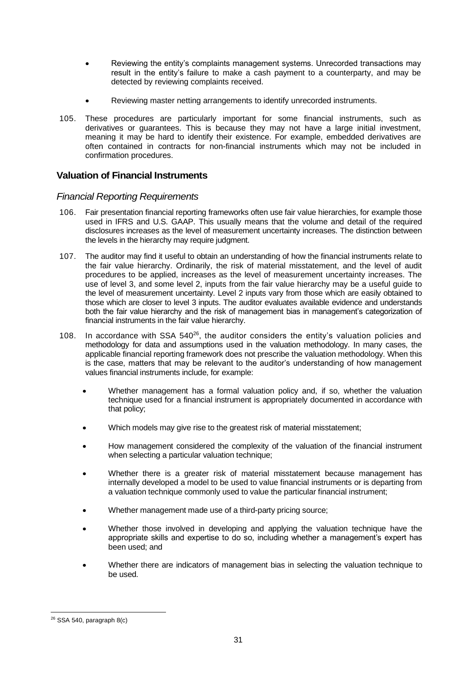- Reviewing the entity's complaints management systems. Unrecorded transactions may result in the entity's failure to make a cash payment to a counterparty, and may be detected by reviewing complaints received.
- Reviewing master netting arrangements to identify unrecorded instruments.
- 105. These procedures are particularly important for some financial instruments, such as derivatives or guarantees. This is because they may not have a large initial investment, meaning it may be hard to identify their existence. For example, embedded derivatives are often contained in contracts for non-financial instruments which may not be included in confirmation procedures.

# **Valuation of Financial Instruments**

#### *Financial Reporting Requirements*

- 106. Fair presentation financial reporting frameworks often use fair value hierarchies, for example those used in IFRS and U.S. GAAP. This usually means that the volume and detail of the required disclosures increases as the level of measurement uncertainty increases. The distinction between the levels in the hierarchy may require judgment.
- 107. The auditor may find it useful to obtain an understanding of how the financial instruments relate to the fair value hierarchy. Ordinarily, the risk of material misstatement, and the level of audit procedures to be applied, increases as the level of measurement uncertainty increases. The use of level 3, and some level 2, inputs from the fair value hierarchy may be a useful guide to the level of measurement uncertainty. Level 2 inputs vary from those which are easily obtained to those which are closer to level 3 inputs. The auditor evaluates available evidence and understands both the fair value hierarchy and the risk of management bias in management's categorization of financial instruments in the fair value hierarchy.
- 108. In accordance with SSA 540<sup>26</sup>, the auditor considers the entity's valuation policies and methodology for data and assumptions used in the valuation methodology. In many cases, the applicable financial reporting framework does not prescribe the valuation methodology. When this is the case, matters that may be relevant to the auditor's understanding of how management values financial instruments include, for example:
	- Whether management has a formal valuation policy and, if so, whether the valuation technique used for a financial instrument is appropriately documented in accordance with that policy;
	- Which models may give rise to the greatest risk of material misstatement;
	- How management considered the complexity of the valuation of the financial instrument when selecting a particular valuation technique;
	- Whether there is a greater risk of material misstatement because management has internally developed a model to be used to value financial instruments or is departing from a valuation technique commonly used to value the particular financial instrument;
	- Whether management made use of a third-party pricing source;
	- Whether those involved in developing and applying the valuation technique have the appropriate skills and expertise to do so, including whether a management's expert has been used; and
	- Whether there are indicators of management bias in selecting the valuation technique to be used.

 $26$  SSA 540, paragraph  $8(c)$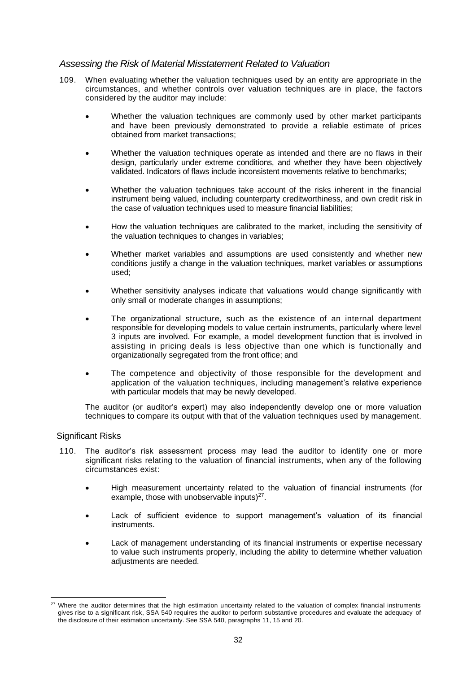# *Assessing the Risk of Material Misstatement Related to Valuation*

- 109. When evaluating whether the valuation techniques used by an entity are appropriate in the circumstances, and whether controls over valuation techniques are in place, the factors considered by the auditor may include:
	- Whether the valuation techniques are commonly used by other market participants and have been previously demonstrated to provide a reliable estimate of prices obtained from market transactions;
	- Whether the valuation techniques operate as intended and there are no flaws in their design, particularly under extreme conditions, and whether they have been objectively validated. Indicators of flaws include inconsistent movements relative to benchmarks;
	- Whether the valuation techniques take account of the risks inherent in the financial instrument being valued, including counterparty creditworthiness, and own credit risk in the case of valuation techniques used to measure financial liabilities;
	- How the valuation techniques are calibrated to the market, including the sensitivity of the valuation techniques to changes in variables;
	- Whether market variables and assumptions are used consistently and whether new conditions justify a change in the valuation techniques, market variables or assumptions used;
	- Whether sensitivity analyses indicate that valuations would change significantly with only small or moderate changes in assumptions;
	- The organizational structure, such as the existence of an internal department responsible for developing models to value certain instruments, particularly where level 3 inputs are involved. For example, a model development function that is involved in assisting in pricing deals is less objective than one which is functionally and organizationally segregated from the front office; and
	- The competence and objectivity of those responsible for the development and application of the valuation techniques, including management's relative experience with particular models that may be newly developed.

The auditor (or auditor's expert) may also independently develop one or more valuation techniques to compare its output with that of the valuation techniques used by management.

#### Significant Risks

- 110. The auditor's risk assessment process may lead the auditor to identify one or more significant risks relating to the valuation of financial instruments, when any of the following circumstances exist:
	- High measurement uncertainty related to the valuation of financial instruments (for example, those with unobservable inputs) $27$ .
	- Lack of sufficient evidence to support management's valuation of its financial instruments.
	- Lack of management understanding of its financial instruments or expertise necessary to value such instruments properly, including the ability to determine whether valuation adjustments are needed.

<sup>&</sup>lt;sup>27</sup> Where the auditor determines that the high estimation uncertainty related to the valuation of complex financial instruments gives rise to a significant risk, SSA 540 requires the auditor to perform substantive procedures and evaluate the adequacy of the disclosure of their estimation uncertainty. See SSA 540, paragraphs 11, 15 and 20.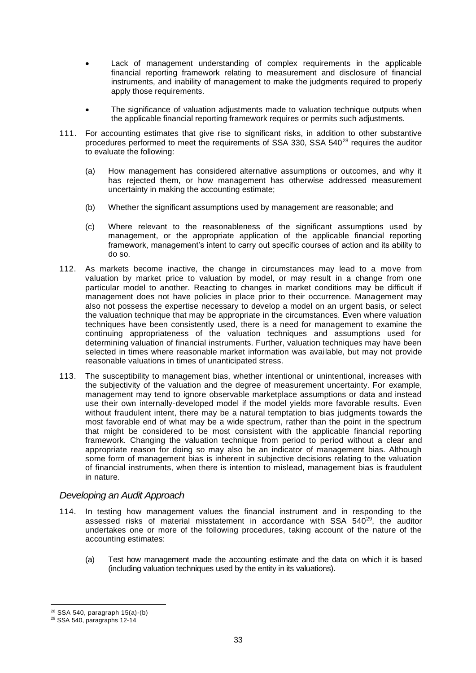- Lack of management understanding of complex requirements in the applicable financial reporting framework relating to measurement and disclosure of financial instruments, and inability of management to make the judgments required to properly apply those requirements.
- The significance of valuation adjustments made to valuation technique outputs when the applicable financial reporting framework requires or permits such adjustments.
- 111. For accounting estimates that give rise to significant risks, in addition to other substantive procedures performed to meet the requirements of SSA 330, SSA 540<sup>28</sup> requires the auditor to evaluate the following:
	- (a) How management has considered alternative assumptions or outcomes, and why it has rejected them, or how management has otherwise addressed measurement uncertainty in making the accounting estimate;
	- (b) Whether the significant assumptions used by management are reasonable; and
	- (c) Where relevant to the reasonableness of the significant assumptions used by management, or the appropriate application of the applicable financial reporting framework, management's intent to carry out specific courses of action and its ability to do so.
- 112. As markets become inactive, the change in circumstances may lead to a move from valuation by market price to valuation by model, or may result in a change from one particular model to another. Reacting to changes in market conditions may be difficult if management does not have policies in place prior to their occurrence. Management may also not possess the expertise necessary to develop a model on an urgent basis, or select the valuation technique that may be appropriate in the circumstances. Even where valuation techniques have been consistently used, there is a need for management to examine the continuing appropriateness of the valuation techniques and assumptions used for determining valuation of financial instruments. Further, valuation techniques may have been selected in times where reasonable market information was available, but may not provide reasonable valuations in times of unanticipated stress.
- 113. The susceptibility to management bias, whether intentional or unintentional, increases with the subjectivity of the valuation and the degree of measurement uncertainty. For example, management may tend to ignore observable marketplace assumptions or data and instead use their own internally-developed model if the model yields more favorable results. Even without fraudulent intent, there may be a natural temptation to bias judgments towards the most favorable end of what may be a wide spectrum, rather than the point in the spectrum that might be considered to be most consistent with the applicable financial reporting framework. Changing the valuation technique from period to period without a clear and appropriate reason for doing so may also be an indicator of management bias. Although some form of management bias is inherent in subjective decisions relating to the valuation of financial instruments, when there is intention to mislead, management bias is fraudulent in nature.

# *Developing an Audit Approach*

- 114. In testing how management values the financial instrument and in responding to the assessed risks of material misstatement in accordance with SSA 540<sup>29</sup>, the auditor undertakes one or more of the following procedures, taking account of the nature of the accounting estimates:
	- (a) Test how management made the accounting estimate and the data on which it is based (including valuation techniques used by the entity in its valuations).

 $28$  SSA 540, paragraph 15(a)-(b)

 $29$  SSA 540, paragraphs 12-14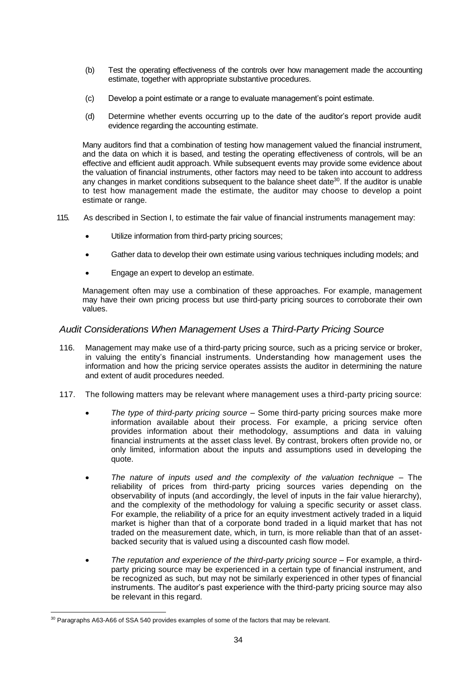- (b) Test the operating effectiveness of the controls over how management made the accounting estimate, together with appropriate substantive procedures.
- (c) Develop a point estimate or a range to evaluate management's point estimate.
- (d) Determine whether events occurring up to the date of the auditor's report provide audit evidence regarding the accounting estimate.

Many auditors find that a combination of testing how management valued the financial instrument, and the data on which it is based, and testing the operating effectiveness of controls, will be an effective and efficient audit approach. While subsequent events may provide some evidence about the valuation of financial instruments, other factors may need to be taken into account to address any changes in market conditions subsequent to the balance sheet date $30$ . If the auditor is unable to test how management made the estimate, the auditor may choose to develop a point estimate or range.

- 115. As described in Section I, to estimate the fair value of financial instruments management may:
	- Utilize information from third-party pricing sources;
	- Gather data to develop their own estimate using various techniques including models; and
	- Engage an expert to develop an estimate.

Management often may use a combination of these approaches. For example, management may have their own pricing process but use third-party pricing sources to corroborate their own values.

#### *Audit Considerations When Management Uses a Third-Party Pricing Source*

- 116. Management may make use of a third-party pricing source, such as a pricing service or broker, in valuing the entity's financial instruments. Understanding how management uses the information and how the pricing service operates assists the auditor in determining the nature and extent of audit procedures needed.
- 117. The following matters may be relevant where management uses a third-party pricing source:
	- *The type of third-party pricing source* Some third-party pricing sources make more information available about their process. For example, a pricing service often provides information about their methodology, assumptions and data in valuing financial instruments at the asset class level. By contrast, brokers often provide no, or only limited, information about the inputs and assumptions used in developing the quote.
	- *The nature of inputs used and the complexity of the valuation technique –* The reliability of prices from third-party pricing sources varies depending on the observability of inputs (and accordingly, the level of inputs in the fair value hierarchy), and the complexity of the methodology for valuing a specific security or asset class. For example, the reliability of a price for an equity investment actively traded in a liquid market is higher than that of a corporate bond traded in a liquid market that has not traded on the measurement date, which, in turn, is more reliable than that of an assetbacked security that is valued using a discounted cash flow model.
	- *The reputation and experience of the third-party pricing source* For example, a thirdparty pricing source may be experienced in a certain type of financial instrument, and be recognized as such, but may not be similarly experienced in other types of financial instruments. The auditor's past experience with the third-party pricing source may also be relevant in this regard.

<sup>&</sup>lt;sup>30</sup> Paragraphs A63-A66 of SSA 540 provides examples of some of the factors that may be relevant.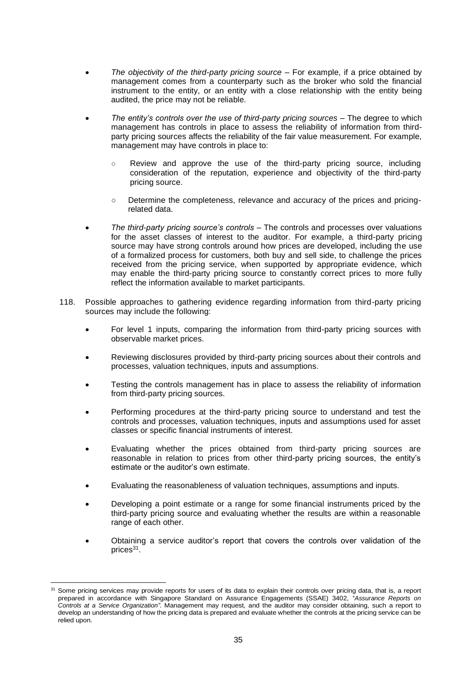- *The objectivity of the third-party pricing source –* For example, if a price obtained by management comes from a counterparty such as the broker who sold the financial instrument to the entity, or an entity with a close relationship with the entity being audited, the price may not be reliable.
- The entity's controls over the use of third-party pricing sources The degree to which management has controls in place to assess the reliability of information from thirdparty pricing sources affects the reliability of the fair value measurement. For example, management may have controls in place to:
	- Review and approve the use of the third-party pricing source, including consideration of the reputation, experience and objectivity of the third-party pricing source.
	- Determine the completeness, relevance and accuracy of the prices and pricingrelated data.
- *The third-party pricing source's controls –* The controls and processes over valuations for the asset classes of interest to the auditor. For example, a third-party pricing source may have strong controls around how prices are developed, including the use of a formalized process for customers, both buy and sell side, to challenge the prices received from the pricing service, when supported by appropriate evidence, which may enable the third-party pricing source to constantly correct prices to more fully reflect the information available to market participants.
- 118. Possible approaches to gathering evidence regarding information from third-party pricing sources may include the following:
	- For level 1 inputs, comparing the information from third-party pricing sources with observable market prices.
	- Reviewing disclosures provided by third-party pricing sources about their controls and processes, valuation techniques, inputs and assumptions.
	- Testing the controls management has in place to assess the reliability of information from third-party pricing sources.
	- Performing procedures at the third-party pricing source to understand and test the controls and processes, valuation techniques, inputs and assumptions used for asset classes or specific financial instruments of interest.
	- Evaluating whether the prices obtained from third-party pricing sources are reasonable in relation to prices from other third-party pricing sources, the entity's estimate or the auditor's own estimate.
	- Evaluating the reasonableness of valuation techniques, assumptions and inputs.
	- Developing a point estimate or a range for some financial instruments priced by the third-party pricing source and evaluating whether the results are within a reasonable range of each other.
	- Obtaining a service auditor's report that covers the controls over validation of the prices<sup>31</sup>.

<sup>&</sup>lt;sup>31</sup> Some pricing services may provide reports for users of its data to explain their controls over pricing data, that is, a report prepared in accordance with Singapore Standard on Assurance Engagements (SSAE) 3402, "*Assurance Reports on Controls at a Service Organization"*. Management may request, and the auditor may consider obtaining, such a report to develop an understanding of how the pricing data is prepared and evaluate whether the controls at the pricing service can be relied upon.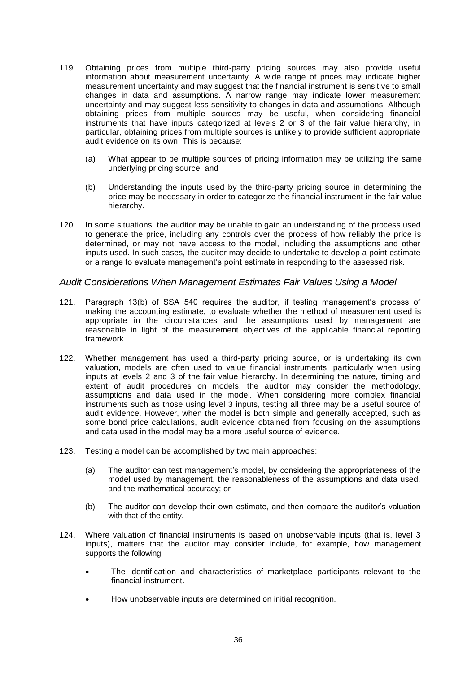- 119. Obtaining prices from multiple third-party pricing sources may also provide useful information about measurement uncertainty. A wide range of prices may indicate higher measurement uncertainty and may suggest that the financial instrument is sensitive to small changes in data and assumptions. A narrow range may indicate lower measurement uncertainty and may suggest less sensitivity to changes in data and assumptions. Although obtaining prices from multiple sources may be useful, when considering financial instruments that have inputs categorized at levels 2 or 3 of the fair value hierarchy, in particular, obtaining prices from multiple sources is unlikely to provide sufficient appropriate audit evidence on its own. This is because:
	- (a) What appear to be multiple sources of pricing information may be utilizing the same underlying pricing source; and
	- (b) Understanding the inputs used by the third-party pricing source in determining the price may be necessary in order to categorize the financial instrument in the fair value hierarchy.
- 120. In some situations, the auditor may be unable to gain an understanding of the process used to generate the price, including any controls over the process of how reliably the price is determined, or may not have access to the model, including the assumptions and other inputs used. In such cases, the auditor may decide to undertake to develop a point estimate or a range to evaluate management's point estimate in responding to the assessed risk.

#### *Audit Considerations When Management Estimates Fair Values Using a Model*

- 121. Paragraph 13(b) of SSA 540 requires the auditor, if testing management's process of making the accounting estimate, to evaluate whether the method of measurement used is appropriate in the circumstances and the assumptions used by management are reasonable in light of the measurement objectives of the applicable financial reporting framework.
- 122. Whether management has used a third-party pricing source, or is undertaking its own valuation, models are often used to value financial instruments, particularly when using inputs at levels 2 and 3 of the fair value hierarchy. In determining the nature, timing and extent of audit procedures on models, the auditor may consider the methodology, assumptions and data used in the model. When considering more complex financial instruments such as those using level 3 inputs, testing all three may be a useful source of audit evidence. However, when the model is both simple and generally accepted, such as some bond price calculations, audit evidence obtained from focusing on the assumptions and data used in the model may be a more useful source of evidence.
- 123. Testing a model can be accomplished by two main approaches:
	- (a) The auditor can test management's model, by considering the appropriateness of the model used by management, the reasonableness of the assumptions and data used, and the mathematical accuracy; or
	- (b) The auditor can develop their own estimate, and then compare the auditor's valuation with that of the entity.
- 124. Where valuation of financial instruments is based on unobservable inputs (that is, level 3 inputs), matters that the auditor may consider include, for example, how management supports the following:
	- The identification and characteristics of marketplace participants relevant to the financial instrument.
	- How unobservable inputs are determined on initial recognition.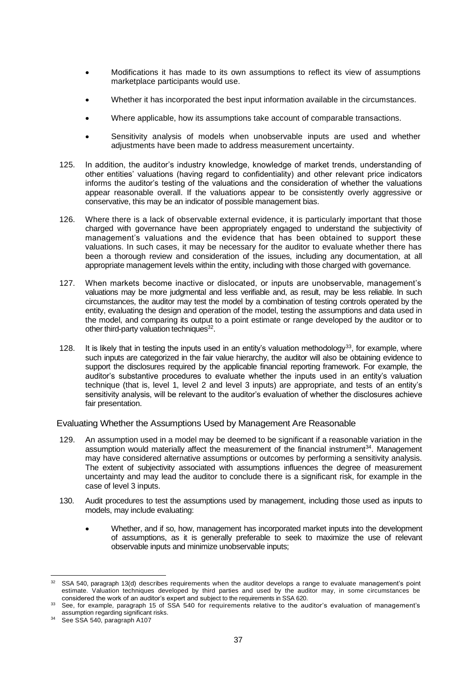- Modifications it has made to its own assumptions to reflect its view of assumptions marketplace participants would use.
- Whether it has incorporated the best input information available in the circumstances.
- Where applicable, how its assumptions take account of comparable transactions.
- Sensitivity analysis of models when unobservable inputs are used and whether adjustments have been made to address measurement uncertainty.
- 125. In addition, the auditor's industry knowledge, knowledge of market trends, understanding of other entities' valuations (having regard to confidentiality) and other relevant price indicators informs the auditor's testing of the valuations and the consideration of whether the valuations appear reasonable overall. If the valuations appear to be consistently overly aggressive or conservative, this may be an indicator of possible management bias.
- 126. Where there is a lack of observable external evidence, it is particularly important that those charged with governance have been appropriately engaged to understand the subjectivity of management's valuations and the evidence that has been obtained to support these valuations. In such cases, it may be necessary for the auditor to evaluate whether there has been a thorough review and consideration of the issues, including any documentation, at all appropriate management levels within the entity, including with those charged with governance.
- 127. When markets become inactive or dislocated, or inputs are unobservable, management's valuations may be more judgmental and less verifiable and, as result, may be less reliable. In such circumstances, the auditor may test the model by a combination of testing controls operated by the entity, evaluating the design and operation of the model, testing the assumptions and data used in the model, and comparing its output to a point estimate or range developed by the auditor or to other third-party valuation techniques<sup>32</sup>.
- 128. It is likely that in testing the inputs used in an entity's valuation methodology<sup>33</sup>, for example, where such inputs are categorized in the fair value hierarchy, the auditor will also be obtaining evidence to support the disclosures required by the applicable financial reporting framework. For example, the auditor's substantive procedures to evaluate whether the inputs used in an entity's valuation technique (that is, level 1, level 2 and level 3 inputs) are appropriate, and tests of an entity's sensitivity analysis, will be relevant to the auditor's evaluation of whether the disclosures achieve fair presentation.

#### Evaluating Whether the Assumptions Used by Management Are Reasonable

- 129. An assumption used in a model may be deemed to be significant if a reasonable variation in the assumption would materially affect the measurement of the financial instrument $34$ . Management may have considered alternative assumptions or outcomes by performing a sensitivity analysis. The extent of subjectivity associated with assumptions influences the degree of measurement uncertainty and may lead the auditor to conclude there is a significant risk, for example in the case of level 3 inputs.
- 130. Audit procedures to test the assumptions used by management, including those used as inputs to models, may include evaluating:
	- Whether, and if so, how, management has incorporated market inputs into the development of assumptions, as it is generally preferable to seek to maximize the use of relevant observable inputs and minimize unobservable inputs;

<sup>&</sup>lt;sup>32</sup> SSA 540, paragraph 13(d) describes requirements when the auditor develops a range to evaluate management's point estimate. Valuation techniques developed by third parties and used by the auditor may, in some circumstances be considered the work of an auditor's expert and subject to the requirements in SSA 620.

See, for example, paragraph 15 of SSA 540 for requirements relative to the auditor's evaluation of management's assumption regarding significant risks.

See SSA 540, paragraph A107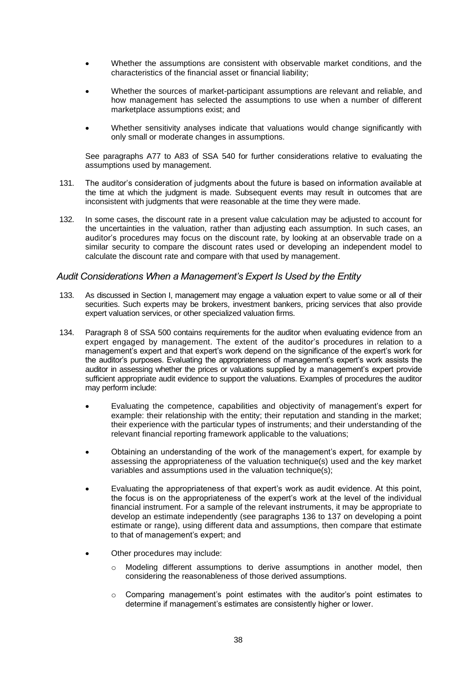- Whether the assumptions are consistent with observable market conditions, and the characteristics of the financial asset or financial liability;
- Whether the sources of market-participant assumptions are relevant and reliable, and how management has selected the assumptions to use when a number of different marketplace assumptions exist; and
- Whether sensitivity analyses indicate that valuations would change significantly with only small or moderate changes in assumptions.

See paragraphs A77 to A83 of SSA 540 for further considerations relative to evaluating the assumptions used by management.

- 131. The auditor's consideration of judgments about the future is based on information available at the time at which the judgment is made. Subsequent events may result in outcomes that are inconsistent with judgments that were reasonable at the time they were made.
- 132. In some cases, the discount rate in a present value calculation may be adjusted to account for the uncertainties in the valuation, rather than adjusting each assumption. In such cases, an auditor's procedures may focus on the discount rate, by looking at an observable trade on a similar security to compare the discount rates used or developing an independent model to calculate the discount rate and compare with that used by management.

#### *Audit Considerations When a Management's Expert Is Used by the Entity*

- 133. As discussed in Section I, management may engage a valuation expert to value some or all of their securities. Such experts may be brokers, investment bankers, pricing services that also provide expert valuation services, or other specialized valuation firms.
- 134. Paragraph 8 of SSA 500 contains requirements for the auditor when evaluating evidence from an expert engaged by management. The extent of the auditor's procedures in relation to a management's expert and that expert's work depend on the significance of the expert's work for the auditor's purposes. Evaluating the appropriateness of management's expert's work assists the auditor in assessing whether the prices or valuations supplied by a management's expert provide sufficient appropriate audit evidence to support the valuations. Examples of procedures the auditor may perform include:
	- Evaluating the competence, capabilities and objectivity of management's expert for example: their relationship with the entity; their reputation and standing in the market; their experience with the particular types of instruments; and their understanding of the relevant financial reporting framework applicable to the valuations;
	- Obtaining an understanding of the work of the management's expert, for example by assessing the appropriateness of the valuation technique(s) used and the key market variables and assumptions used in the valuation technique(s);
	- Evaluating the appropriateness of that expert's work as audit evidence. At this point, the focus is on the appropriateness of the expert's work at the level of the individual financial instrument. For a sample of the relevant instruments, it may be appropriate to develop an estimate independently (see paragraphs 136 to 137 on developing a point estimate or range), using different data and assumptions, then compare that estimate to that of management's expert; and
	- Other procedures may include:
		- Modeling different assumptions to derive assumptions in another model, then considering the reasonableness of those derived assumptions.
		- $\circ$  Comparing management's point estimates with the auditor's point estimates to determine if management's estimates are consistently higher or lower.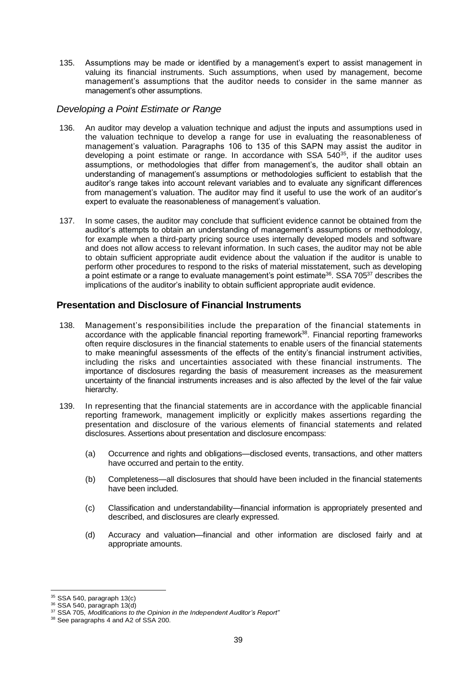135. Assumptions may be made or identified by a management's expert to assist management in valuing its financial instruments. Such assumptions, when used by management, become management's assumptions that the auditor needs to consider in the same manner as management's other assumptions.

# *Developing a Point Estimate or Range*

- 136. An auditor may develop a valuation technique and adjust the inputs and assumptions used in the valuation technique to develop a range for use in evaluating the reasonableness of management's valuation. Paragraphs 106 to 135 of this SAPN may assist the auditor in developing a point estimate or range. In accordance with SSA  $540^{35}$ , if the auditor uses assumptions, or methodologies that differ from management's, the auditor shall obtain an understanding of management's assumptions or methodologies sufficient to establish that the auditor's range takes into account relevant variables and to evaluate any significant differences from management's valuation. The auditor may find it useful to use the work of an auditor's expert to evaluate the reasonableness of management's valuation.
- 137. In some cases, the auditor may conclude that sufficient evidence cannot be obtained from the auditor's attempts to obtain an understanding of management's assumptions or methodology, for example when a third-party pricing source uses internally developed models and software and does not allow access to relevant information. In such cases, the auditor may not be able to obtain sufficient appropriate audit evidence about the valuation if the auditor is unable to perform other procedures to respond to the risks of material misstatement, such as developing a point estimate or a range to evaluate management's point estimate<sup>36</sup>. SSA 705<sup>37</sup> describes the implications of the auditor's inability to obtain sufficient appropriate audit evidence.

# **Presentation and Disclosure of Financial Instruments**

- 138. Management's responsibilities include the preparation of the financial statements in accordance with the applicable financial reporting framework<sup>38</sup>. Financial reporting frameworks often require disclosures in the financial statements to enable users of the financial statements to make meaningful assessments of the effects of the entity's financial instrument activities, including the risks and uncertainties associated with these financial instruments. The importance of disclosures regarding the basis of measurement increases as the measurement uncertainty of the financial instruments increases and is also affected by the level of the fair value hierarchy.
- 139. In representing that the financial statements are in accordance with the applicable financial reporting framework, management implicitly or explicitly makes assertions regarding the presentation and disclosure of the various elements of financial statements and related disclosures. Assertions about presentation and disclosure encompass:
	- (a) Occurrence and rights and obligations—disclosed events, transactions, and other matters have occurred and pertain to the entity.
	- (b) Completeness—all disclosures that should have been included in the financial statements have been included.
	- (c) Classification and understandability—financial information is appropriately presented and described, and disclosures are clearly expressed.
	- (d) Accuracy and valuation—financial and other information are disclosed fairly and at appropriate amounts.

<sup>35</sup> SSA 540, paragraph 13(c)

<sup>36</sup> SSA 540, paragraph 13(d)

<sup>&</sup>lt;sup>37</sup> SSA 705, *Modifications to the Opinion in the Independent Auditor's Report"* 

<sup>&</sup>lt;sup>38</sup> See paragraphs 4 and A2 of SSA 200.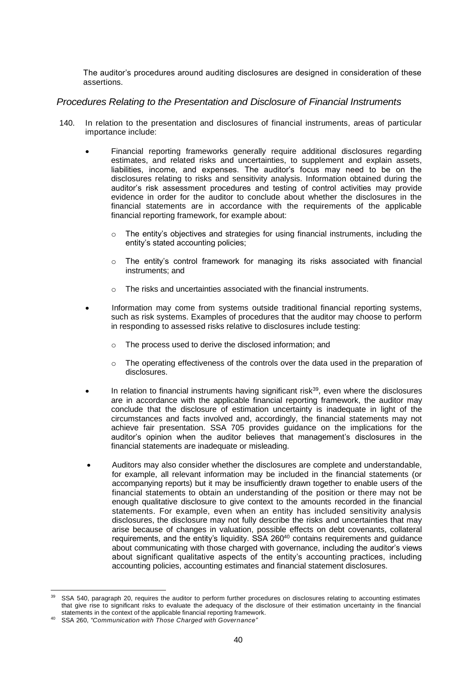The auditor's procedures around auditing disclosures are designed in consideration of these assertions.

#### *Procedures Relating to the Presentation and Disclosure of Financial Instruments*

- 140. In relation to the presentation and disclosures of financial instruments, areas of particular importance include:
	- Financial reporting frameworks generally require additional disclosures regarding estimates, and related risks and uncertainties, to supplement and explain assets, liabilities, income, and expenses. The auditor's focus may need to be on the disclosures relating to risks and sensitivity analysis. Information obtained during the auditor's risk assessment procedures and testing of control activities may provide evidence in order for the auditor to conclude about whether the disclosures in the financial statements are in accordance with the requirements of the applicable financial reporting framework, for example about:
		- $\circ$  The entity's objectives and strategies for using financial instruments, including the entity's stated accounting policies;
		- $\circ$  The entity's control framework for managing its risks associated with financial instruments; and
		- $\circ$  The risks and uncertainties associated with the financial instruments.
	- .Information may come from systems outside traditional financial reporting systems, such as risk systems. Examples of procedures that the auditor may choose to perform in responding to assessed risks relative to disclosures include testing:
		- o The process used to derive the disclosed information; and
		- $\circ$  The operating effectiveness of the controls over the data used in the preparation of disclosures.
	- In relation to financial instruments having significant risk<sup>39</sup>, even where the disclosures are in accordance with the applicable financial reporting framework, the auditor may conclude that the disclosure of estimation uncertainty is inadequate in light of the circumstances and facts involved and, accordingly, the financial statements may not achieve fair presentation. SSA 705 provides guidance on the implications for the auditor's opinion when the auditor believes that management's disclosures in the financial statements are inadequate or misleading.
	- Auditors may also consider whether the disclosures are complete and understandable, for example, all relevant information may be included in the financial statements (or accompanying reports) but it may be insufficiently drawn together to enable users of the financial statements to obtain an understanding of the position or there may not be enough qualitative disclosure to give context to the amounts recorded in the financial statements. For example, even when an entity has included sensitivity analysis disclosures, the disclosure may not fully describe the risks and uncertainties that may arise because of changes in valuation, possible effects on debt covenants, collateral requirements, and the entity's liquidity. SSA  $260^{40}$  contains requirements and guidance about communicating with those charged with governance, including the auditor's views about significant qualitative aspects of the entity's accounting practices, including accounting policies, accounting estimates and financial statement disclosures.

SSA 540, paragraph 20, requires the auditor to perform further procedures on disclosures relating to accounting estimates that give rise to significant risks to evaluate the adequacy of the disclosure of their estimation uncertainty in the financial statements in the context of the applicable financial reporting framework.

<sup>40</sup> SSA 260, *"Communication with Those Charged with Governance"*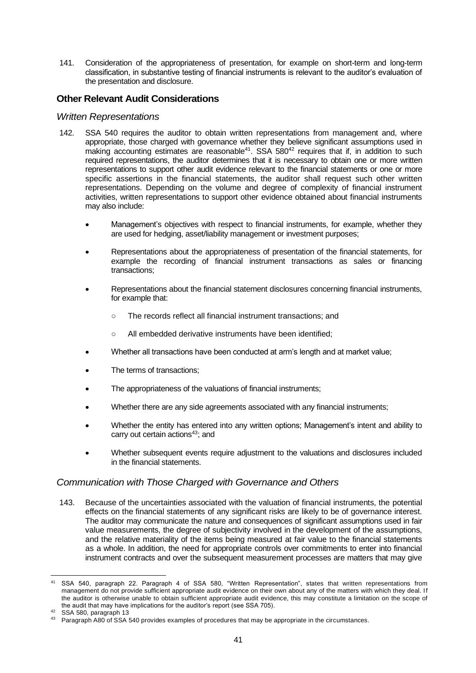141. Consideration of the appropriateness of presentation, for example on short-term and long-term classification, in substantive testing of financial instruments is relevant to the auditor's evaluation of the presentation and disclosure.

# **Other Relevant Audit Considerations**

#### *Written Representations*

- 142. SSA 540 requires the auditor to obtain written representations from management and, where appropriate, those charged with governance whether they believe significant assumptions used in making accounting estimates are reasonable<sup>41</sup>. SSA 580<sup>42</sup> requires that if, in addition to such required representations, the auditor determines that it is necessary to obtain one or more written representations to support other audit evidence relevant to the financial statements or one or more specific assertions in the financial statements, the auditor shall request such other written representations. Depending on the volume and degree of complexity of financial instrument activities, written representations to support other evidence obtained about financial instruments may also include:
	- Management's objectives with respect to financial instruments, for example, whether they are used for hedging, asset/liability management or investment purposes;
	- Representations about the appropriateness of presentation of the financial statements, for example the recording of financial instrument transactions as sales or financing transactions;
	- Representations about the financial statement disclosures concerning financial instruments, for example that:
		- The records reflect all financial instrument transactions; and
		- All embedded derivative instruments have been identified;
	- Whether all transactions have been conducted at arm's length and at market value;
	- The terms of transactions:
	- The appropriateness of the valuations of financial instruments;
	- Whether there are any side agreements associated with any financial instruments;
	- Whether the entity has entered into any written options; Management's intent and ability to carry out certain actions<sup>43</sup>; and
	- Whether subsequent events require adjustment to the valuations and disclosures included in the financial statements.

# *Communication with Those Charged with Governance and Others*

143. Because of the uncertainties associated with the valuation of financial instruments, the potential effects on the financial statements of any significant risks are likely to be of governance interest. The auditor may communicate the nature and consequences of significant assumptions used in fair value measurements, the degree of subjectivity involved in the development of the assumptions, and the relative materiality of the items being measured at fair value to the financial statements as a whole. In addition, the need for appropriate controls over commitments to enter into financial instrument contracts and over the subsequent measurement processes are matters that may give

<sup>41</sup> SSA 540, paragraph 22. Paragraph 4 of SSA 580, "Written Representation", states that written representations from management do not provide sufficient appropriate audit evidence on their own about any of the matters with which they deal. If the auditor is otherwise unable to obtain sufficient appropriate audit evidence, this may constitute a limitation on the scope of the audit that may have implications for the auditor's report (see SSA 705).

 $^{42}$  SSA 580, paragraph 13

Paragraph A80 of SSA 540 provides examples of procedures that may be appropriate in the circumstances.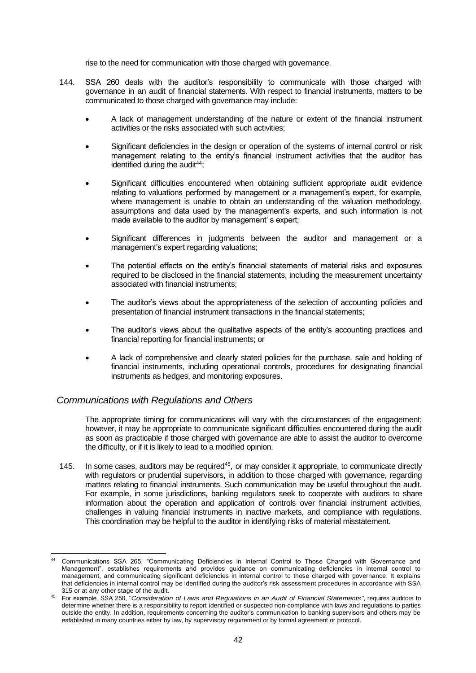rise to the need for communication with those charged with governance.

- 144. SSA 260 deals with the auditor's responsibility to communicate with those charged with governance in an audit of financial statements. With respect to financial instruments, matters to be communicated to those charged with governance may include:
	- A lack of management understanding of the nature or extent of the financial instrument activities or the risks associated with such activities;
	- Significant deficiencies in the design or operation of the systems of internal control or risk management relating to the entity's financial instrument activities that the auditor has identified during the audit $44$ ;
	- Significant difficulties encountered when obtaining sufficient appropriate audit evidence relating to valuations performed by management or a management's expert, for example, where management is unable to obtain an understanding of the valuation methodology, assumptions and data used by the management's experts, and such information is not made available to the auditor by management' s expert;
	- Significant differences in judgments between the auditor and management or a management's expert regarding valuations;
	- The potential effects on the entity's financial statements of material risks and exposures required to be disclosed in the financial statements, including the measurement uncertainty associated with financial instruments;
	- The auditor's views about the appropriateness of the selection of accounting policies and presentation of financial instrument transactions in the financial statements;
	- The auditor's views about the qualitative aspects of the entity's accounting practices and financial reporting for financial instruments; or
	- A lack of comprehensive and clearly stated policies for the purchase, sale and holding of financial instruments, including operational controls, procedures for designating financial instruments as hedges, and monitoring exposures.

# *Communications with Regulations and Others*

The appropriate timing for communications will vary with the circumstances of the engagement; however, it may be appropriate to communicate significant difficulties encountered during the audit as soon as practicable if those charged with governance are able to assist the auditor to overcome the difficulty, or if it is likely to lead to a modified opinion.

145. In some cases, auditors may be required<sup>45</sup>, or may consider it appropriate, to communicate directly with regulators or prudential supervisors, in addition to those charged with governance, regarding matters relating to financial instruments. Such communication may be useful throughout the audit. For example, in some jurisdictions, banking regulators seek to cooperate with auditors to share information about the operation and application of controls over financial instrument activities, challenges in valuing financial instruments in inactive markets, and compliance with regulations. This coordination may be helpful to the auditor in identifying risks of material misstatement.

<sup>44</sup> Communications SSA 265, "Communicating Deficiencies in Internal Control to Those Charged with Governance and Management", establishes requirements and provides guidance on communicating deficiencies in internal control to management, and communicating significant deficiencies in internal control to those charged with governance. It explains that deficiencies in internal control may be identified during the auditor's risk assessment procedures in accordance with SSA 315 or at any other stage of the audit.

<sup>45</sup> For example, SSA 250, "*Consideration of Laws and Regulations in an Audit of Financial Statements"*, requires auditors to determine whether there is a responsibility to report identified or suspected non-compliance with laws and regulations to parties outside the entity. In addition, requirements concerning the auditor's communication to banking supervisors and others may be established in many countries either by law, by supervisory requirement or by formal agreement or protocol.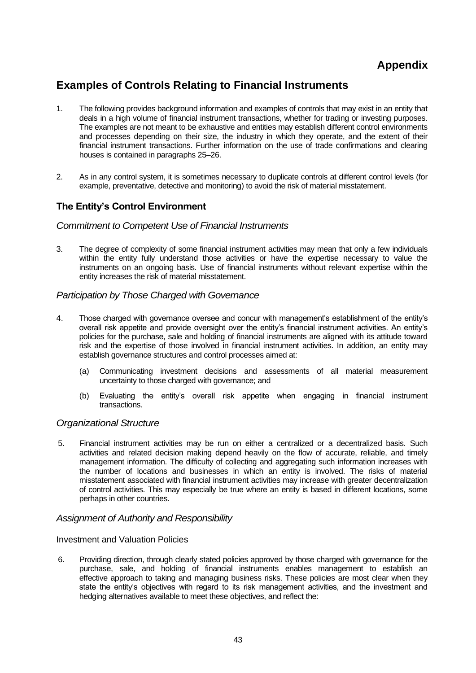# **Appendix**

# **Examples of Controls Relating to Financial Instruments**

- 1. The following provides background information and examples of controls that may exist in an entity that deals in a high volume of financial instrument transactions, whether for trading or investing purposes. The examples are not meant to be exhaustive and entities may establish different control environments and processes depending on their size, the industry in which they operate, and the extent of their financial instrument transactions. Further information on the use of trade confirmations and clearing houses is contained in paragraphs 25–26.
- 2. As in any control system, it is sometimes necessary to duplicate controls at different control levels (for example, preventative, detective and monitoring) to avoid the risk of material misstatement.

# **The Entity's Control Environment**

#### *Commitment to Competent Use of Financial Instruments*

3. The degree of complexity of some financial instrument activities may mean that only a few individuals within the entity fully understand those activities or have the expertise necessary to value the instruments on an ongoing basis. Use of financial instruments without relevant expertise within the entity increases the risk of material misstatement.

# *Participation by Those Charged with Governance*

- 4. Those charged with governance oversee and concur with management's establishment of the entity's overall risk appetite and provide oversight over the entity's financial instrument activities. An entity's policies for the purchase, sale and holding of financial instruments are aligned with its attitude toward risk and the expertise of those involved in financial instrument activities. In addition, an entity may establish governance structures and control processes aimed at:
	- (a) Communicating investment decisions and assessments of all material measurement uncertainty to those charged with governance; and
	- (b) Evaluating the entity's overall risk appetite when engaging in financial instrument transactions.

#### *Organizational Structure*

5. Financial instrument activities may be run on either a centralized or a decentralized basis. Such activities and related decision making depend heavily on the flow of accurate, reliable, and timely management information. The difficulty of collecting and aggregating such information increases with the number of locations and businesses in which an entity is involved. The risks of material misstatement associated with financial instrument activities may increase with greater decentralization of control activities. This may especially be true where an entity is based in different locations, some perhaps in other countries.

#### *Assignment of Authority and Responsibility*

#### Investment and Valuation Policies

6. Providing direction, through clearly stated policies approved by those charged with governance for the purchase, sale, and holding of financial instruments enables management to establish an effective approach to taking and managing business risks. These policies are most clear when they state the entity's objectives with regard to its risk management activities, and the investment and hedging alternatives available to meet these objectives, and reflect the: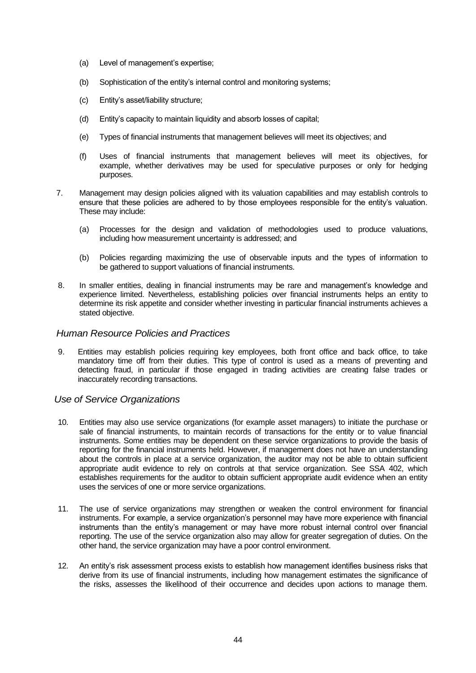- (a) Level of management's expertise;
- (b) Sophistication of the entity's internal control and monitoring systems;
- (c) Entity's asset/liability structure;
- (d) Entity's capacity to maintain liquidity and absorb losses of capital;
- (e) Types of financial instruments that management believes will meet its objectives; and
- (f) Uses of financial instruments that management believes will meet its objectives, for example, whether derivatives may be used for speculative purposes or only for hedging purposes.
- 7. Management may design policies aligned with its valuation capabilities and may establish controls to ensure that these policies are adhered to by those employees responsible for the entity's valuation. These may include:
	- (a) Processes for the design and validation of methodologies used to produce valuations, including how measurement uncertainty is addressed; and
	- (b) Policies regarding maximizing the use of observable inputs and the types of information to be gathered to support valuations of financial instruments.
- 8. In smaller entities, dealing in financial instruments may be rare and management's knowledge and experience limited. Nevertheless, establishing policies over financial instruments helps an entity to determine its risk appetite and consider whether investing in particular financial instruments achieves a stated objective.

#### *Human Resource Policies and Practices*

9. Entities may establish policies requiring key employees, both front office and back office, to take mandatory time off from their duties. This type of control is used as a means of preventing and detecting fraud, in particular if those engaged in trading activities are creating false trades or inaccurately recording transactions.

#### *Use of Service Organizations*

- 10. Entities may also use service organizations (for example asset managers) to initiate the purchase or sale of financial instruments, to maintain records of transactions for the entity or to value financial instruments. Some entities may be dependent on these service organizations to provide the basis of reporting for the financial instruments held. However, if management does not have an understanding about the controls in place at a service organization, the auditor may not be able to obtain sufficient appropriate audit evidence to rely on controls at that service organization. See SSA 402, which establishes requirements for the auditor to obtain sufficient appropriate audit evidence when an entity uses the services of one or more service organizations.
- 11. The use of service organizations may strengthen or weaken the control environment for financial instruments. For example, a service organization's personnel may have more experience with financial instruments than the entity's management or may have more robust internal control over financial reporting. The use of the service organization also may allow for greater segregation of duties. On the other hand, the service organization may have a poor control environment.
- 12. An entity's risk assessment process exists to establish how management identifies business risks that derive from its use of financial instruments, including how management estimates the significance of the risks, assesses the likelihood of their occurrence and decides upon actions to manage them.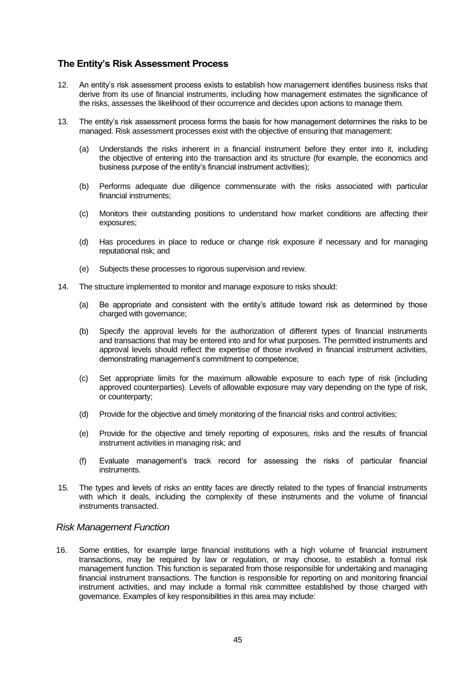# **The Entity's Risk Assessment Process**

- 12. An entity's risk assessment process exists to establish how management identifies business risks that derive from its use of financial instruments, including how management estimates the significance of the risks, assesses the likelihood of their occurrence and decides upon actions to manage them.
- 13. The entity's risk assessment process forms the basis for how management determines the risks to be managed. Risk assessment processes exist with the objective of ensuring that management:
	- (a) Understands the risks inherent in a financial instrument before they enter into it, including the objective of entering into the transaction and its structure (for example, the economics and business purpose of the entity's financial instrument activities);
	- (b) Performs adequate due diligence commensurate with the risks associated with particular financial instruments;
	- (c) Monitors their outstanding positions to understand how market conditions are affecting their exposures;
	- (d) Has procedures in place to reduce or change risk exposure if necessary and for managing reputational risk; and
	- (e) Subjects these processes to rigorous supervision and review.
- 14. The structure implemented to monitor and manage exposure to risks should:
	- (a) Be appropriate and consistent with the entity's attitude toward risk as determined by those charged with governance;
	- (b) Specify the approval levels for the authorization of different types of financial instruments and transactions that may be entered into and for what purposes. The permitted instruments and approval levels should reflect the expertise of those involved in financial instrument activities, demonstrating management's commitment to competence;
	- (c) Set appropriate limits for the maximum allowable exposure to each type of risk (including approved counterparties). Levels of allowable exposure may vary depending on the type of risk, or counterparty;
	- (d) Provide for the objective and timely monitoring of the financial risks and control activities;
	- (e) Provide for the objective and timely reporting of exposures, risks and the results of financial instrument activities in managing risk; and
	- (f) Evaluate management's track record for assessing the risks of particular financial **instruments**
- 15. The types and levels of risks an entity faces are directly related to the types of financial instruments with which it deals, including the complexity of these instruments and the volume of financial instruments transacted.

#### *Risk Management Function*

16. Some entities, for example large financial institutions with a high volume of financial instrument transactions, may be required by law or regulation, or may choose, to establish a formal risk management function. This function is separated from those responsible for undertaking and managing financial instrument transactions. The function is responsible for reporting on and monitoring financial instrument activities, and may include a formal risk committee established by those charged with governance. Examples of key responsibilities in this area may include: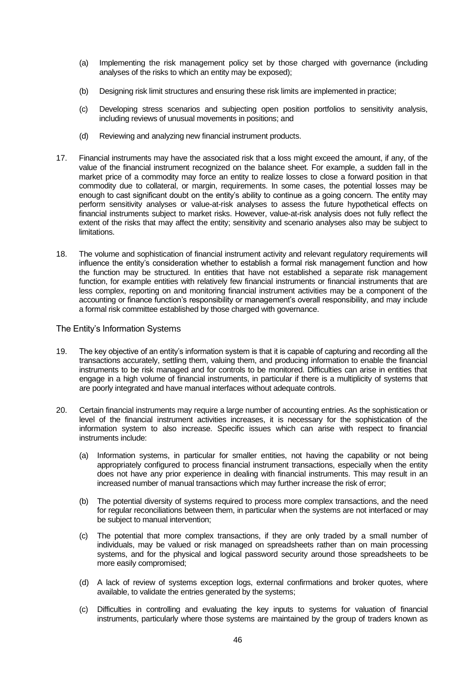- (a) Implementing the risk management policy set by those charged with governance (including analyses of the risks to which an entity may be exposed);
- (b) Designing risk limit structures and ensuring these risk limits are implemented in practice;
- (c) Developing stress scenarios and subjecting open position portfolios to sensitivity analysis, including reviews of unusual movements in positions; and
- (d) Reviewing and analyzing new financial instrument products.
- 17. Financial instruments may have the associated risk that a loss might exceed the amount, if any, of the value of the financial instrument recognized on the balance sheet. For example, a sudden fall in the market price of a commodity may force an entity to realize losses to close a forward position in that commodity due to collateral, or margin, requirements. In some cases, the potential losses may be enough to cast significant doubt on the entity's ability to continue as a going concern. The entity may perform sensitivity analyses or value-at-risk analyses to assess the future hypothetical effects on financial instruments subject to market risks. However, value-at-risk analysis does not fully reflect the extent of the risks that may affect the entity; sensitivity and scenario analyses also may be subject to limitations.
- 18. The volume and sophistication of financial instrument activity and relevant regulatory requirements will influence the entity's consideration whether to establish a formal risk management function and how the function may be structured. In entities that have not established a separate risk management function, for example entities with relatively few financial instruments or financial instruments that are less complex, reporting on and monitoring financial instrument activities may be a component of the accounting or finance function's responsibility or management's overall responsibility, and may include a formal risk committee established by those charged with governance.

The Entity's Information Systems

- 19. The key objective of an entity's information system is that it is capable of capturing and recording all the transactions accurately, settling them, valuing them, and producing information to enable the financial instruments to be risk managed and for controls to be monitored. Difficulties can arise in entities that engage in a high volume of financial instruments, in particular if there is a multiplicity of systems that are poorly integrated and have manual interfaces without adequate controls.
- 20. Certain financial instruments may require a large number of accounting entries. As the sophistication or level of the financial instrument activities increases, it is necessary for the sophistication of the information system to also increase. Specific issues which can arise with respect to financial instruments include:
	- (a) Information systems, in particular for smaller entities, not having the capability or not being appropriately configured to process financial instrument transactions, especially when the entity does not have any prior experience in dealing with financial instruments. This may result in an increased number of manual transactions which may further increase the risk of error;
	- (b) The potential diversity of systems required to process more complex transactions, and the need for regular reconciliations between them, in particular when the systems are not interfaced or may be subject to manual intervention;
	- (c) The potential that more complex transactions, if they are only traded by a small number of individuals, may be valued or risk managed on spreadsheets rather than on main processing systems, and for the physical and logical password security around those spreadsheets to be more easily compromised;
	- (d) A lack of review of systems exception logs, external confirmations and broker quotes, where available, to validate the entries generated by the systems;
	- (c) Difficulties in controlling and evaluating the key inputs to systems for valuation of financial instruments, particularly where those systems are maintained by the group of traders known as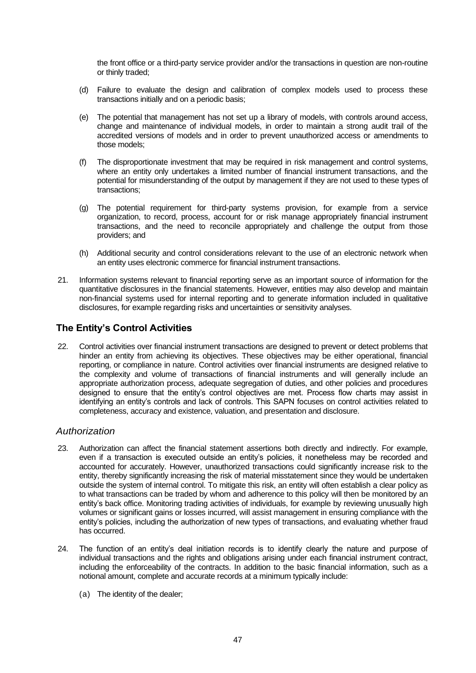the front office or a third-party service provider and/or the transactions in question are non-routine or thinly traded;

- (d) Failure to evaluate the design and calibration of complex models used to process these transactions initially and on a periodic basis;
- (e) The potential that management has not set up a library of models, with controls around access, change and maintenance of individual models, in order to maintain a strong audit trail of the accredited versions of models and in order to prevent unauthorized access or amendments to those models;
- (f) The disproportionate investment that may be required in risk management and control systems, where an entity only undertakes a limited number of financial instrument transactions, and the potential for misunderstanding of the output by management if they are not used to these types of transactions;
- (g) The potential requirement for third-party systems provision, for example from a service organization, to record, process, account for or risk manage appropriately financial instrument transactions, and the need to reconcile appropriately and challenge the output from those providers; and
- (h) Additional security and control considerations relevant to the use of an electronic network when an entity uses electronic commerce for financial instrument transactions.
- 21. Information systems relevant to financial reporting serve as an important source of information for the quantitative disclosures in the financial statements. However, entities may also develop and maintain non-financial systems used for internal reporting and to generate information included in qualitative disclosures, for example regarding risks and uncertainties or sensitivity analyses.

# **The Entity's Control Activities**

22. Control activities over financial instrument transactions are designed to prevent or detect problems that hinder an entity from achieving its objectives. These objectives may be either operational, financial reporting, or compliance in nature. Control activities over financial instruments are designed relative to the complexity and volume of transactions of financial instruments and will generally include an appropriate authorization process, adequate segregation of duties, and other policies and procedures designed to ensure that the entity's control objectives are met. Process flow charts may assist in identifying an entity's controls and lack of controls. This SAPN focuses on control activities related to completeness, accuracy and existence, valuation, and presentation and disclosure.

#### *Authorization*

- 23. Authorization can affect the financial statement assertions both directly and indirectly. For example, even if a transaction is executed outside an entity's policies, it nonetheless may be recorded and accounted for accurately. However, unauthorized transactions could significantly increase risk to the entity, thereby significantly increasing the risk of material misstatement since they would be undertaken outside the system of internal control. To mitigate this risk, an entity will often establish a clear policy as to what transactions can be traded by whom and adherence to this policy will then be monitored by an entity's back office. Monitoring trading activities of individuals, for example by reviewing unusually high volumes or significant gains or losses incurred, will assist management in ensuring compliance with the entity's policies, including the authorization of new types of transactions, and evaluating whether fraud has occurred.
- 24. The function of an entity's deal initiation records is to identify clearly the nature and purpose of individual transactions and the rights and obligations arising under each financial instrument contract, including the enforceability of the contracts. In addition to the basic financial information, such as a notional amount, complete and accurate records at a minimum typically include:
	- (a) The identity of the dealer;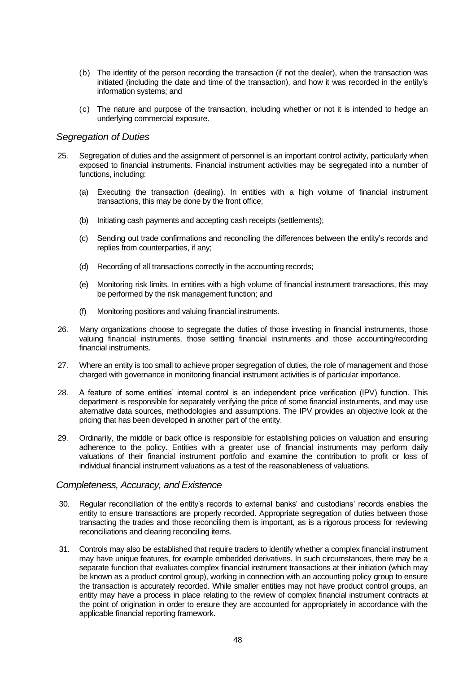- (b) The identity of the person recording the transaction (if not the dealer), when the transaction was initiated (including the date and time of the transaction), and how it was recorded in the entity's information systems; and
- (c) The nature and purpose of the transaction, including whether or not it is intended to hedge an underlying commercial exposure.

#### *Segregation of Duties*

- 25. Segregation of duties and the assignment of personnel is an important control activity, particularly when exposed to financial instruments. Financial instrument activities may be segregated into a number of functions, including:
	- (a) Executing the transaction (dealing). In entities with a high volume of financial instrument transactions, this may be done by the front office;
	- (b) Initiating cash payments and accepting cash receipts (settlements);
	- (c) Sending out trade confirmations and reconciling the differences between the entity's records and replies from counterparties, if any;
	- (d) Recording of all transactions correctly in the accounting records;
	- (e) Monitoring risk limits. In entities with a high volume of financial instrument transactions, this may be performed by the risk management function; and
	- (f) Monitoring positions and valuing financial instruments.
- 26. Many organizations choose to segregate the duties of those investing in financial instruments, those valuing financial instruments, those settling financial instruments and those accounting/recording financial instruments.
- 27. Where an entity is too small to achieve proper segregation of duties, the role of management and those charged with governance in monitoring financial instrument activities is of particular importance.
- 28. A feature of some entities' internal control is an independent price verification (IPV) function. This department is responsible for separately verifying the price of some financial instruments, and may use alternative data sources, methodologies and assumptions. The IPV provides an objective look at the pricing that has been developed in another part of the entity.
- 29. Ordinarily, the middle or back office is responsible for establishing policies on valuation and ensuring adherence to the policy. Entities with a greater use of financial instruments may perform daily valuations of their financial instrument portfolio and examine the contribution to profit or loss of individual financial instrument valuations as a test of the reasonableness of valuations.

#### *Completeness, Accuracy, and Existence*

- 30. Regular reconciliation of the entity's records to external banks' and custodians' records enables the entity to ensure transactions are properly recorded. Appropriate segregation of duties between those transacting the trades and those reconciling them is important, as is a rigorous process for reviewing reconciliations and clearing reconciling items.
- 31. Controls may also be established that require traders to identify whether a complex financial instrument may have unique features, for example embedded derivatives. In such circumstances, there may be a separate function that evaluates complex financial instrument transactions at their initiation (which may be known as a product control group), working in connection with an accounting policy group to ensure the transaction is accurately recorded. While smaller entities may not have product control groups, an entity may have a process in place relating to the review of complex financial instrument contracts at the point of origination in order to ensure they are accounted for appropriately in accordance with the applicable financial reporting framework.